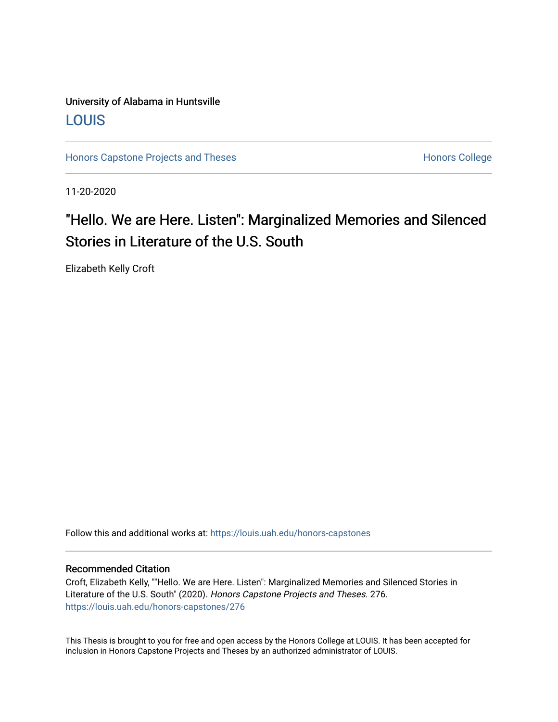## University of Alabama in Huntsville [LOUIS](https://louis.uah.edu/)

[Honors Capstone Projects and Theses](https://louis.uah.edu/honors-capstones) **Honors College** Honors College

11-20-2020

## "Hello. We are Here. Listen": Marginalized Memories and Silenced Stories in Literature of the U.S. South

Elizabeth Kelly Croft

Follow this and additional works at: [https://louis.uah.edu/honors-capstones](https://louis.uah.edu/honors-capstones?utm_source=louis.uah.edu%2Fhonors-capstones%2F276&utm_medium=PDF&utm_campaign=PDFCoverPages) 

#### Recommended Citation

Croft, Elizabeth Kelly, ""Hello. We are Here. Listen": Marginalized Memories and Silenced Stories in Literature of the U.S. South" (2020). Honors Capstone Projects and Theses. 276. [https://louis.uah.edu/honors-capstones/276](https://louis.uah.edu/honors-capstones/276?utm_source=louis.uah.edu%2Fhonors-capstones%2F276&utm_medium=PDF&utm_campaign=PDFCoverPages) 

This Thesis is brought to you for free and open access by the Honors College at LOUIS. It has been accepted for inclusion in Honors Capstone Projects and Theses by an authorized administrator of LOUIS.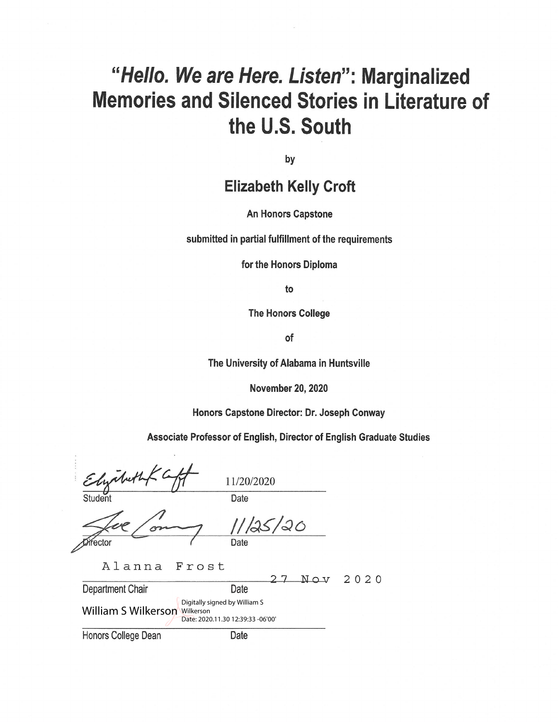# "Hello. We are Here. Listen": Marginalized **Memories and Silenced Stories in Literature of** the U.S. South

by

## **Elizabeth Kelly Croft**

#### **An Honors Capstone**

submitted in partial fulfillment of the requirements

for the Honors Diploma

to

**The Honors College** 

of

The University of Alabama in Huntsville

**November 20, 2020** 

Honors Capstone Director: Dr. Joseph Conway

Associate Professor of English, Director of English Graduate Studies

11/20/2020 Date Student

Mector Date

Alanna Frost

 $\overline{7}$ Nov 2020 Department Chair Date Digitally signed by William S **William S Wilkerson Wilkerson** Date: 2020.11.30 12:39:33 -06'00' Honors College Dean Date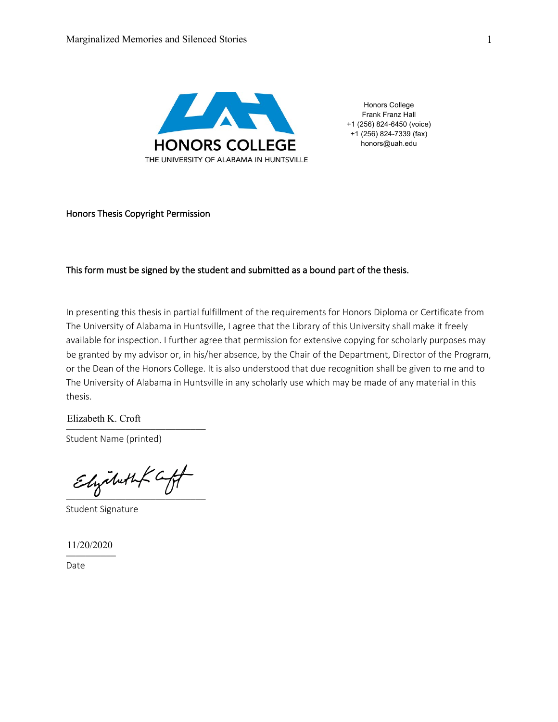

Honors College Frank Franz Hall +1 (256) 824-6450 (voice) +1 (256) 824-7339 (fax) honors@uah.edu

#### Honors Thesis Copyright Permission

#### This form must be signed by the student and submitted as a bound part of the thesis.

In presenting this thesis in partial fulfillment of the requirements for Honors Diploma or Certificate from The University of Alabama in Huntsville, I agree that the Library of this University shall make it freely available for inspection. I further agree that permission for extensive copying for scholarly purposes may be granted by my advisor or, in his/her absence, by the Chair of the Department, Director of the Program, or the Dean of the Honors College. It is also understood that due recognition shall be given to me and to The University of Alabama in Huntsville in any scholarly use which may be made of any material in this thesis.

 $Litzavett K. Cott$ Elizabeth K. Croft

Student Name (printed)

 $E$ lyabuth  $\zeta$  aff

Student Signature

\_\_\_\_\_\_\_\_\_\_ 11/20/2020

Date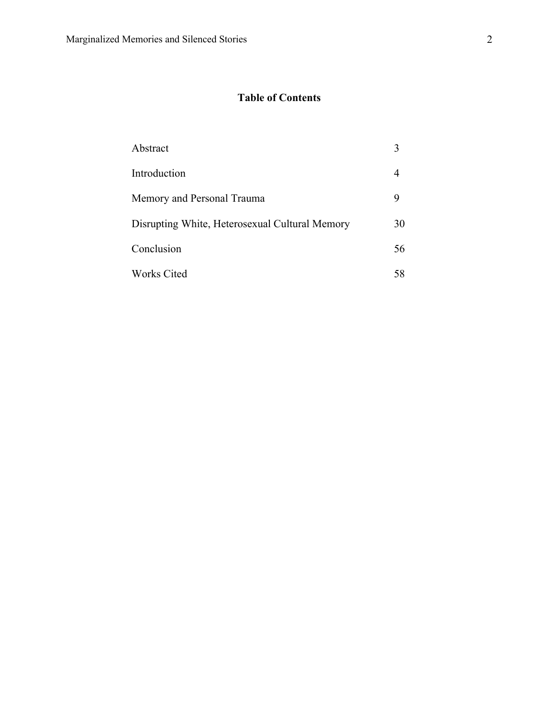### **Table of Contents**

| Abstract                                       |    |
|------------------------------------------------|----|
| Introduction                                   | 4  |
| Memory and Personal Trauma                     | 9  |
| Disrupting White, Heterosexual Cultural Memory | 30 |
| Conclusion                                     | 56 |
| <b>Works Cited</b>                             | 58 |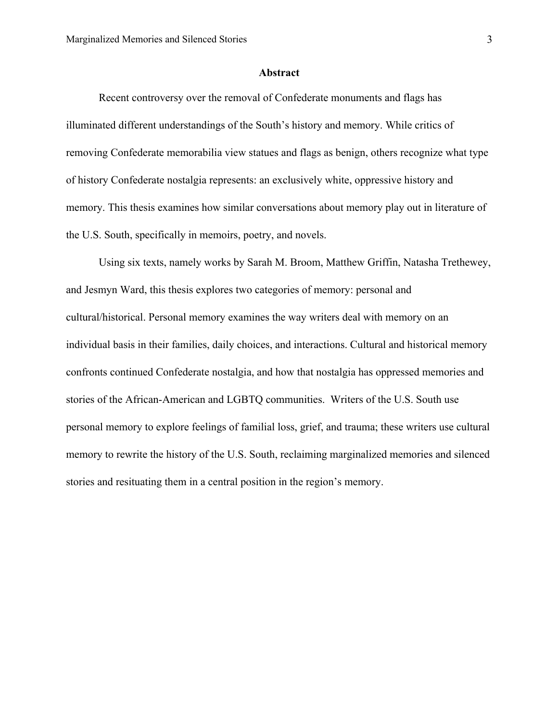#### **Abstract**

Recent controversy over the removal of Confederate monuments and flags has illuminated different understandings of the South's history and memory. While critics of removing Confederate memorabilia view statues and flags as benign, others recognize what type of history Confederate nostalgia represents: an exclusively white, oppressive history and memory. This thesis examines how similar conversations about memory play out in literature of the U.S. South, specifically in memoirs, poetry, and novels.

Using six texts, namely works by Sarah M. Broom, Matthew Griffin, Natasha Trethewey, and Jesmyn Ward, this thesis explores two categories of memory: personal and cultural/historical. Personal memory examines the way writers deal with memory on an individual basis in their families, daily choices, and interactions. Cultural and historical memory confronts continued Confederate nostalgia, and how that nostalgia has oppressed memories and stories of the African-American and LGBTQ communities. Writers of the U.S. South use personal memory to explore feelings of familial loss, grief, and trauma; these writers use cultural memory to rewrite the history of the U.S. South, reclaiming marginalized memories and silenced stories and resituating them in a central position in the region's memory.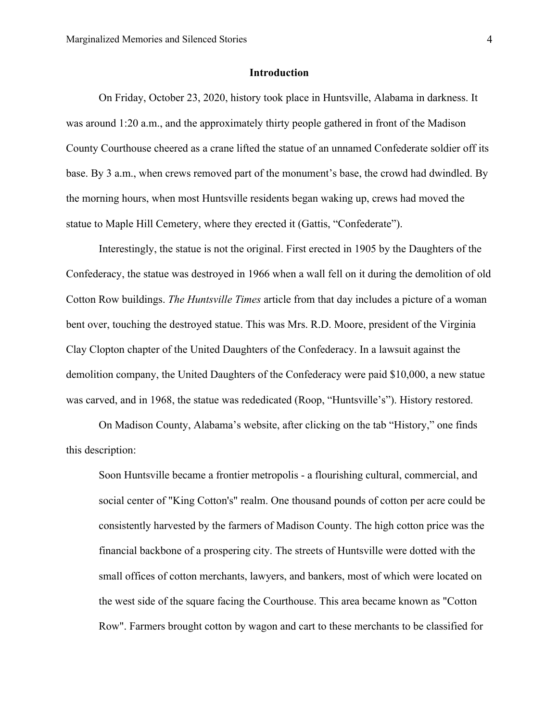#### **Introduction**

On Friday, October 23, 2020, history took place in Huntsville, Alabama in darkness. It was around 1:20 a.m., and the approximately thirty people gathered in front of the Madison County Courthouse cheered as a crane lifted the statue of an unnamed Confederate soldier off its base. By 3 a.m., when crews removed part of the monument's base, the crowd had dwindled. By the morning hours, when most Huntsville residents began waking up, crews had moved the statue to Maple Hill Cemetery, where they erected it (Gattis, "Confederate").

Interestingly, the statue is not the original. First erected in 1905 by the Daughters of the Confederacy, the statue was destroyed in 1966 when a wall fell on it during the demolition of old Cotton Row buildings. *The Huntsville Times* article from that day includes a picture of a woman bent over, touching the destroyed statue. This was Mrs. R.D. Moore, president of the Virginia Clay Clopton chapter of the United Daughters of the Confederacy. In a lawsuit against the demolition company, the United Daughters of the Confederacy were paid \$10,000, a new statue was carved, and in 1968, the statue was rededicated (Roop, "Huntsville's"). History restored.

On Madison County, Alabama's website, after clicking on the tab "History," one finds this description:

Soon Huntsville became a frontier metropolis - a flourishing cultural, commercial, and social center of "King Cotton's" realm. One thousand pounds of cotton per acre could be consistently harvested by the farmers of Madison County. The high cotton price was the financial backbone of a prospering city. The streets of Huntsville were dotted with the small offices of cotton merchants, lawyers, and bankers, most of which were located on the west side of the square facing the Courthouse. This area became known as "Cotton Row". Farmers brought cotton by wagon and cart to these merchants to be classified for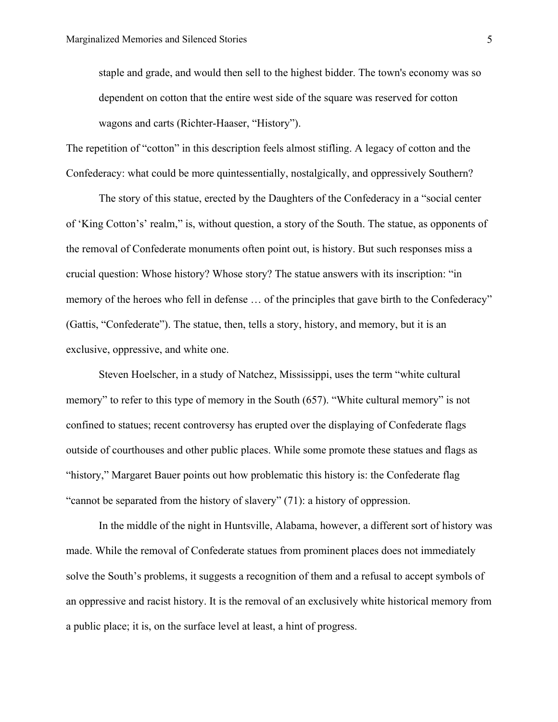staple and grade, and would then sell to the highest bidder. The town's economy was so dependent on cotton that the entire west side of the square was reserved for cotton wagons and carts (Richter-Haaser, "History").

The repetition of "cotton" in this description feels almost stifling. A legacy of cotton and the Confederacy: what could be more quintessentially, nostalgically, and oppressively Southern?

The story of this statue, erected by the Daughters of the Confederacy in a "social center of 'King Cotton's' realm," is, without question, a story of the South. The statue, as opponents of the removal of Confederate monuments often point out, is history. But such responses miss a crucial question: Whose history? Whose story? The statue answers with its inscription: "in memory of the heroes who fell in defense … of the principles that gave birth to the Confederacy" (Gattis, "Confederate"). The statue, then, tells a story, history, and memory, but it is an exclusive, oppressive, and white one.

Steven Hoelscher, in a study of Natchez, Mississippi, uses the term "white cultural memory" to refer to this type of memory in the South (657). "White cultural memory" is not confined to statues; recent controversy has erupted over the displaying of Confederate flags outside of courthouses and other public places. While some promote these statues and flags as "history," Margaret Bauer points out how problematic this history is: the Confederate flag "cannot be separated from the history of slavery" (71): a history of oppression.

In the middle of the night in Huntsville, Alabama, however, a different sort of history was made. While the removal of Confederate statues from prominent places does not immediately solve the South's problems, it suggests a recognition of them and a refusal to accept symbols of an oppressive and racist history. It is the removal of an exclusively white historical memory from a public place; it is, on the surface level at least, a hint of progress.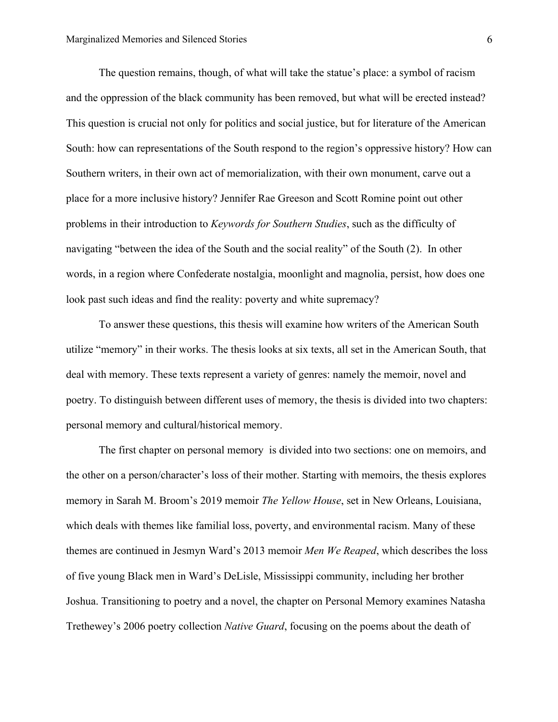The question remains, though, of what will take the statue's place: a symbol of racism and the oppression of the black community has been removed, but what will be erected instead? This question is crucial not only for politics and social justice, but for literature of the American South: how can representations of the South respond to the region's oppressive history? How can Southern writers, in their own act of memorialization, with their own monument, carve out a place for a more inclusive history? Jennifer Rae Greeson and Scott Romine point out other problems in their introduction to *Keywords for Southern Studies*, such as the difficulty of navigating "between the idea of the South and the social reality" of the South (2). In other words, in a region where Confederate nostalgia, moonlight and magnolia, persist, how does one look past such ideas and find the reality: poverty and white supremacy?

To answer these questions, this thesis will examine how writers of the American South utilize "memory" in their works. The thesis looks at six texts, all set in the American South, that deal with memory. These texts represent a variety of genres: namely the memoir, novel and poetry. To distinguish between different uses of memory, the thesis is divided into two chapters: personal memory and cultural/historical memory.

The first chapter on personal memory is divided into two sections: one on memoirs, and the other on a person/character's loss of their mother. Starting with memoirs, the thesis explores memory in Sarah M. Broom's 2019 memoir *The Yellow House*, set in New Orleans, Louisiana, which deals with themes like familial loss, poverty, and environmental racism. Many of these themes are continued in Jesmyn Ward's 2013 memoir *Men We Reaped*, which describes the loss of five young Black men in Ward's DeLisle, Mississippi community, including her brother Joshua. Transitioning to poetry and a novel, the chapter on Personal Memory examines Natasha Trethewey's 2006 poetry collection *Native Guard*, focusing on the poems about the death of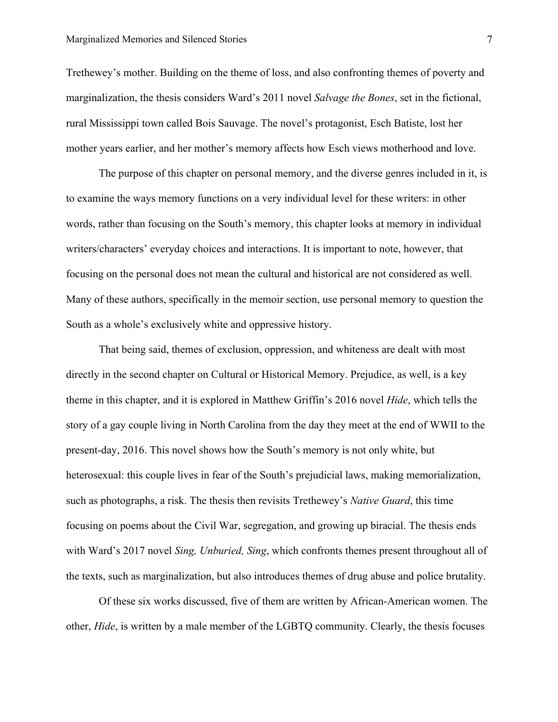Trethewey's mother. Building on the theme of loss, and also confronting themes of poverty and marginalization, the thesis considers Ward's 2011 novel *Salvage the Bones*, set in the fictional, rural Mississippi town called Bois Sauvage. The novel's protagonist, Esch Batiste, lost her mother years earlier, and her mother's memory affects how Esch views motherhood and love.

The purpose of this chapter on personal memory, and the diverse genres included in it, is to examine the ways memory functions on a very individual level for these writers: in other words, rather than focusing on the South's memory, this chapter looks at memory in individual writers/characters' everyday choices and interactions. It is important to note, however, that focusing on the personal does not mean the cultural and historical are not considered as well. Many of these authors, specifically in the memoir section, use personal memory to question the South as a whole's exclusively white and oppressive history.

That being said, themes of exclusion, oppression, and whiteness are dealt with most directly in the second chapter on Cultural or Historical Memory. Prejudice, as well, is a key theme in this chapter, and it is explored in Matthew Griffin's 2016 novel *Hide*, which tells the story of a gay couple living in North Carolina from the day they meet at the end of WWII to the present-day, 2016. This novel shows how the South's memory is not only white, but heterosexual: this couple lives in fear of the South's prejudicial laws, making memorialization, such as photographs, a risk. The thesis then revisits Trethewey's *Native Guard*, this time focusing on poems about the Civil War, segregation, and growing up biracial. The thesis ends with Ward's 2017 novel *Sing, Unburied, Sing*, which confronts themes present throughout all of the texts, such as marginalization, but also introduces themes of drug abuse and police brutality.

Of these six works discussed, five of them are written by African-American women. The other, *Hide*, is written by a male member of the LGBTQ community. Clearly, the thesis focuses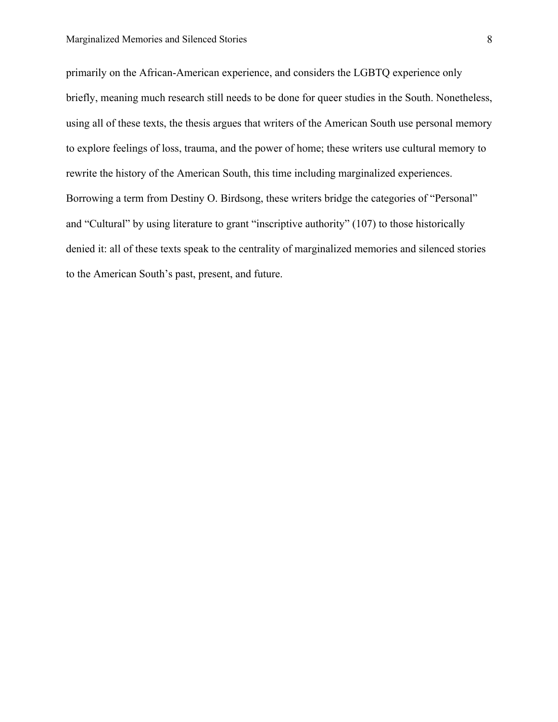primarily on the African-American experience, and considers the LGBTQ experience only briefly, meaning much research still needs to be done for queer studies in the South. Nonetheless, using all of these texts, the thesis argues that writers of the American South use personal memory to explore feelings of loss, trauma, and the power of home; these writers use cultural memory to rewrite the history of the American South, this time including marginalized experiences. Borrowing a term from Destiny O. Birdsong, these writers bridge the categories of "Personal" and "Cultural" by using literature to grant "inscriptive authority" (107) to those historically denied it: all of these texts speak to the centrality of marginalized memories and silenced stories to the American South's past, present, and future.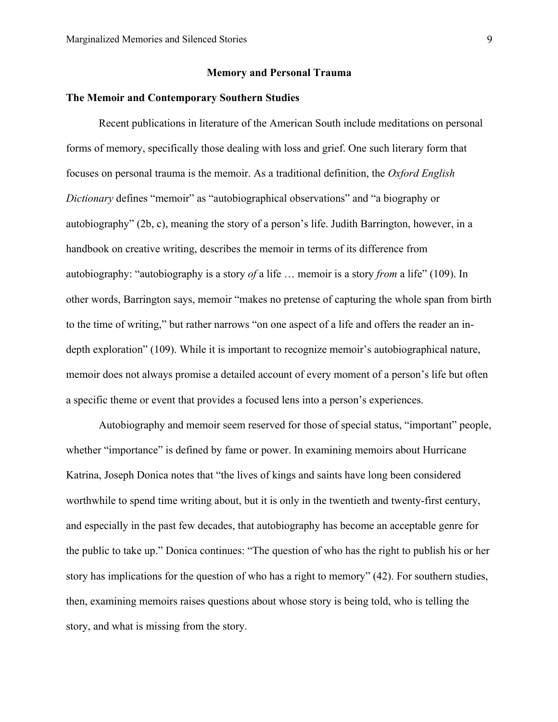#### **Memory and Personal Trauma**

#### **The Memoir and Contemporary Southern Studies**

Recent publications in literature of the American South include meditations on personal forms of memory, specifically those dealing with loss and grief. One such literary form that focuses on personal trauma is the memoir. As a traditional definition, the *Oxford English Dictionary* defines "memoir" as "autobiographical observations" and "a biography or autobiography" (2b, c), meaning the story of a person's life. Judith Barrington, however, in a handbook on creative writing, describes the memoir in terms of its difference from autobiography: "autobiography is a story *of* a life … memoir is a story *from* a life" (109). In other words, Barrington says, memoir "makes no pretense of capturing the whole span from birth to the time of writing," but rather narrows "on one aspect of a life and offers the reader an indepth exploration" (109). While it is important to recognize memoir's autobiographical nature, memoir does not always promise a detailed account of every moment of a person's life but often a specific theme or event that provides a focused lens into a person's experiences.

Autobiography and memoir seem reserved for those of special status, "important" people, whether "importance" is defined by fame or power. In examining memoirs about Hurricane Katrina, Joseph Donica notes that "the lives of kings and saints have long been considered worthwhile to spend time writing about, but it is only in the twentieth and twenty-first century, and especially in the past few decades, that autobiography has become an acceptable genre for the public to take up." Donica continues: "The question of who has the right to publish his or her story has implications for the question of who has a right to memory" (42). For southern studies, then, examining memoirs raises questions about whose story is being told, who is telling the story, and what is missing from the story.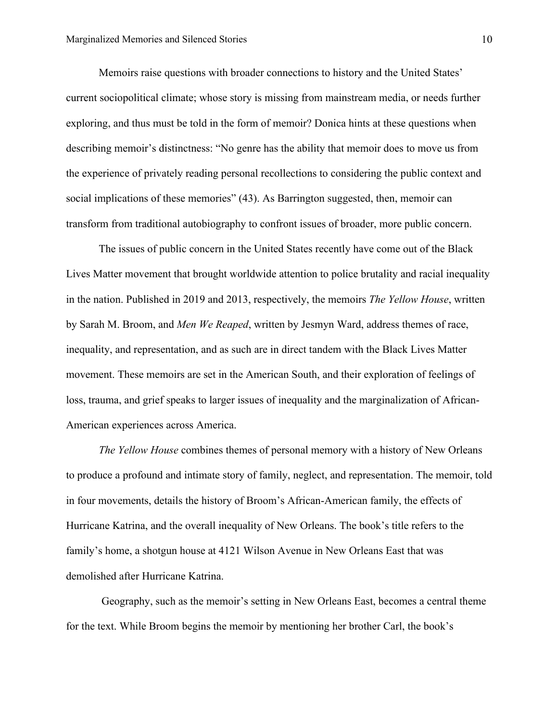Memoirs raise questions with broader connections to history and the United States' current sociopolitical climate; whose story is missing from mainstream media, or needs further exploring, and thus must be told in the form of memoir? Donica hints at these questions when describing memoir's distinctness: "No genre has the ability that memoir does to move us from the experience of privately reading personal recollections to considering the public context and social implications of these memories" (43). As Barrington suggested, then, memoir can transform from traditional autobiography to confront issues of broader, more public concern.

The issues of public concern in the United States recently have come out of the Black Lives Matter movement that brought worldwide attention to police brutality and racial inequality in the nation. Published in 2019 and 2013, respectively, the memoirs *The Yellow House*, written by Sarah M. Broom, and *Men We Reaped*, written by Jesmyn Ward, address themes of race, inequality, and representation, and as such are in direct tandem with the Black Lives Matter movement. These memoirs are set in the American South, and their exploration of feelings of loss, trauma, and grief speaks to larger issues of inequality and the marginalization of African-American experiences across America.

*The Yellow House* combines themes of personal memory with a history of New Orleans to produce a profound and intimate story of family, neglect, and representation. The memoir, told in four movements, details the history of Broom's African-American family, the effects of Hurricane Katrina, and the overall inequality of New Orleans. The book's title refers to the family's home, a shotgun house at 4121 Wilson Avenue in New Orleans East that was demolished after Hurricane Katrina.

Geography, such as the memoir's setting in New Orleans East, becomes a central theme for the text. While Broom begins the memoir by mentioning her brother Carl, the book's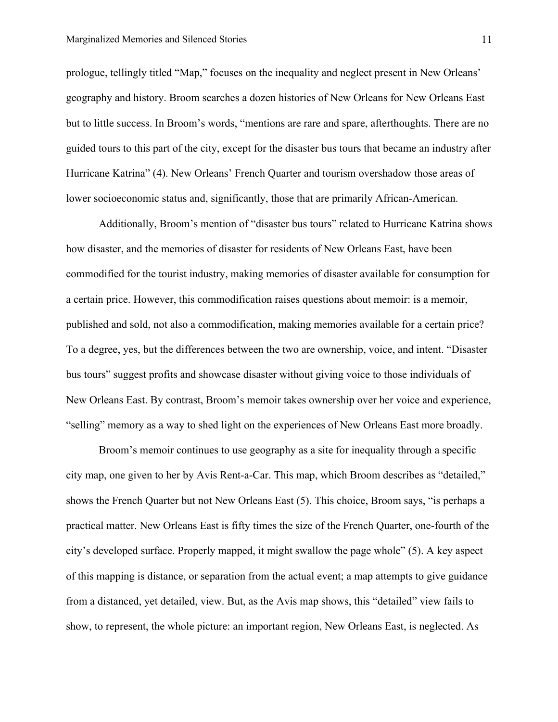prologue, tellingly titled "Map," focuses on the inequality and neglect present in New Orleans' geography and history. Broom searches a dozen histories of New Orleans for New Orleans East but to little success. In Broom's words, "mentions are rare and spare, afterthoughts. There are no guided tours to this part of the city, except for the disaster bus tours that became an industry after Hurricane Katrina" (4). New Orleans' French Quarter and tourism overshadow those areas of lower socioeconomic status and, significantly, those that are primarily African-American.

Additionally, Broom's mention of "disaster bus tours" related to Hurricane Katrina shows how disaster, and the memories of disaster for residents of New Orleans East, have been commodified for the tourist industry, making memories of disaster available for consumption for a certain price. However, this commodification raises questions about memoir: is a memoir, published and sold, not also a commodification, making memories available for a certain price? To a degree, yes, but the differences between the two are ownership, voice, and intent. "Disaster bus tours" suggest profits and showcase disaster without giving voice to those individuals of New Orleans East. By contrast, Broom's memoir takes ownership over her voice and experience, "selling" memory as a way to shed light on the experiences of New Orleans East more broadly.

Broom's memoir continues to use geography as a site for inequality through a specific city map, one given to her by Avis Rent-a-Car. This map, which Broom describes as "detailed," shows the French Quarter but not New Orleans East (5). This choice, Broom says, "is perhaps a practical matter. New Orleans East is fifty times the size of the French Quarter, one-fourth of the city's developed surface. Properly mapped, it might swallow the page whole" (5). A key aspect of this mapping is distance, or separation from the actual event; a map attempts to give guidance from a distanced, yet detailed, view. But, as the Avis map shows, this "detailed" view fails to show, to represent, the whole picture: an important region, New Orleans East, is neglected. As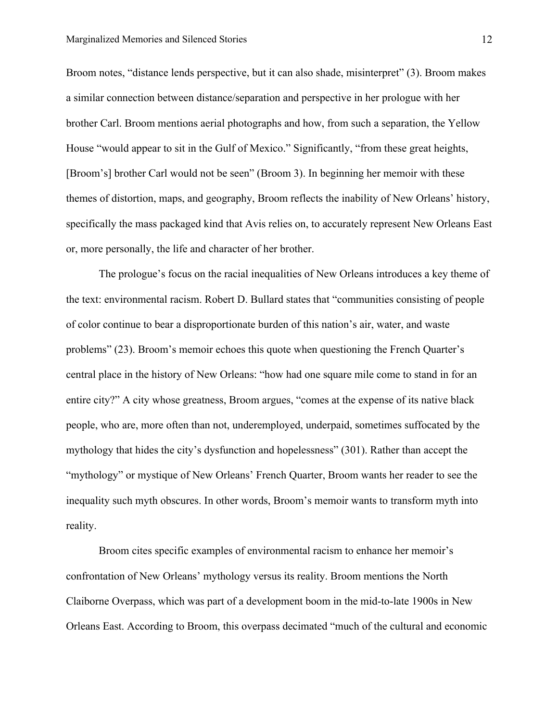Broom notes, "distance lends perspective, but it can also shade, misinterpret" (3). Broom makes a similar connection between distance/separation and perspective in her prologue with her brother Carl. Broom mentions aerial photographs and how, from such a separation, the Yellow House "would appear to sit in the Gulf of Mexico." Significantly, "from these great heights, [Broom's] brother Carl would not be seen" (Broom 3). In beginning her memoir with these themes of distortion, maps, and geography, Broom reflects the inability of New Orleans' history, specifically the mass packaged kind that Avis relies on, to accurately represent New Orleans East or, more personally, the life and character of her brother.

The prologue's focus on the racial inequalities of New Orleans introduces a key theme of the text: environmental racism. Robert D. Bullard states that "communities consisting of people of color continue to bear a disproportionate burden of this nation's air, water, and waste problems" (23). Broom's memoir echoes this quote when questioning the French Quarter's central place in the history of New Orleans: "how had one square mile come to stand in for an entire city?" A city whose greatness, Broom argues, "comes at the expense of its native black people, who are, more often than not, underemployed, underpaid, sometimes suffocated by the mythology that hides the city's dysfunction and hopelessness" (301). Rather than accept the "mythology" or mystique of New Orleans' French Quarter, Broom wants her reader to see the inequality such myth obscures. In other words, Broom's memoir wants to transform myth into reality.

Broom cites specific examples of environmental racism to enhance her memoir's confrontation of New Orleans' mythology versus its reality. Broom mentions the North Claiborne Overpass, which was part of a development boom in the mid-to-late 1900s in New Orleans East. According to Broom, this overpass decimated "much of the cultural and economic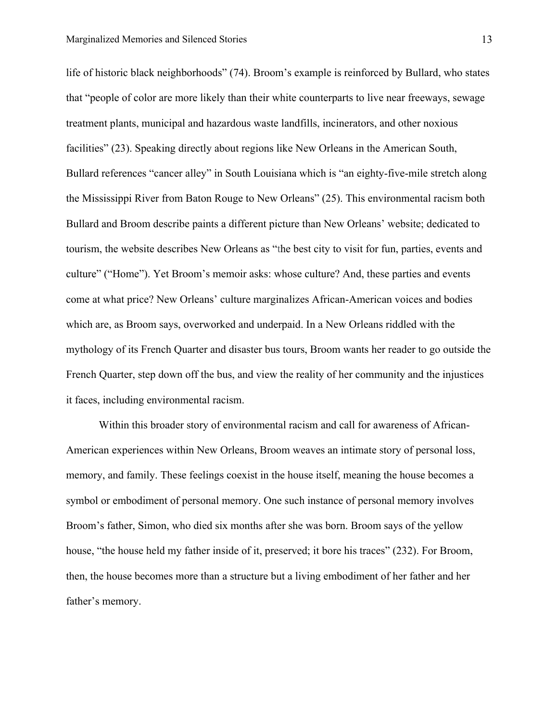life of historic black neighborhoods" (74). Broom's example is reinforced by Bullard, who states that "people of color are more likely than their white counterparts to live near freeways, sewage treatment plants, municipal and hazardous waste landfills, incinerators, and other noxious facilities" (23). Speaking directly about regions like New Orleans in the American South, Bullard references "cancer alley" in South Louisiana which is "an eighty-five-mile stretch along the Mississippi River from Baton Rouge to New Orleans" (25). This environmental racism both Bullard and Broom describe paints a different picture than New Orleans' website; dedicated to tourism, the website describes New Orleans as "the best city to visit for fun, parties, events and culture" ("Home"). Yet Broom's memoir asks: whose culture? And, these parties and events come at what price? New Orleans' culture marginalizes African-American voices and bodies which are, as Broom says, overworked and underpaid. In a New Orleans riddled with the mythology of its French Quarter and disaster bus tours, Broom wants her reader to go outside the French Quarter, step down off the bus, and view the reality of her community and the injustices it faces, including environmental racism.

Within this broader story of environmental racism and call for awareness of African-American experiences within New Orleans, Broom weaves an intimate story of personal loss, memory, and family. These feelings coexist in the house itself, meaning the house becomes a symbol or embodiment of personal memory. One such instance of personal memory involves Broom's father, Simon, who died six months after she was born. Broom says of the yellow house, "the house held my father inside of it, preserved; it bore his traces" (232). For Broom, then, the house becomes more than a structure but a living embodiment of her father and her father's memory.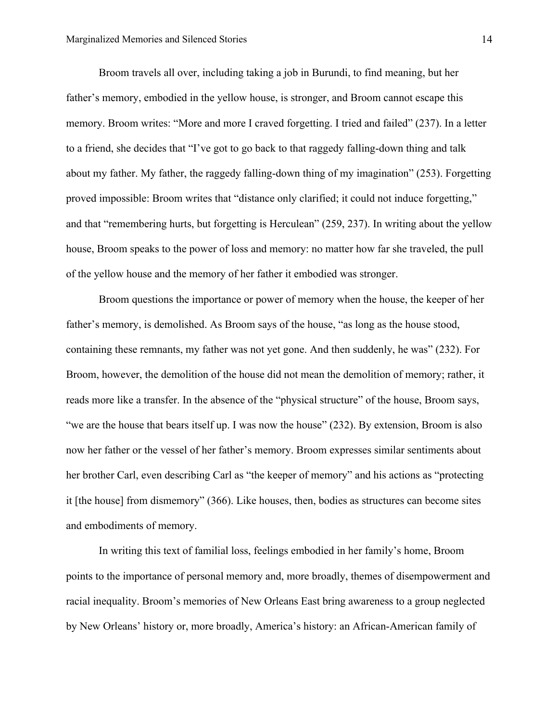Broom travels all over, including taking a job in Burundi, to find meaning, but her father's memory, embodied in the yellow house, is stronger, and Broom cannot escape this memory. Broom writes: "More and more I craved forgetting. I tried and failed" (237). In a letter to a friend, she decides that "I've got to go back to that raggedy falling-down thing and talk about my father. My father, the raggedy falling-down thing of my imagination" (253). Forgetting proved impossible: Broom writes that "distance only clarified; it could not induce forgetting," and that "remembering hurts, but forgetting is Herculean" (259, 237). In writing about the yellow house, Broom speaks to the power of loss and memory: no matter how far she traveled, the pull of the yellow house and the memory of her father it embodied was stronger.

Broom questions the importance or power of memory when the house, the keeper of her father's memory, is demolished. As Broom says of the house, "as long as the house stood, containing these remnants, my father was not yet gone. And then suddenly, he was" (232). For Broom, however, the demolition of the house did not mean the demolition of memory; rather, it reads more like a transfer. In the absence of the "physical structure" of the house, Broom says, "we are the house that bears itself up. I was now the house" (232). By extension, Broom is also now her father or the vessel of her father's memory. Broom expresses similar sentiments about her brother Carl, even describing Carl as "the keeper of memory" and his actions as "protecting it [the house] from dismemory" (366). Like houses, then, bodies as structures can become sites and embodiments of memory.

In writing this text of familial loss, feelings embodied in her family's home, Broom points to the importance of personal memory and, more broadly, themes of disempowerment and racial inequality. Broom's memories of New Orleans East bring awareness to a group neglected by New Orleans' history or, more broadly, America's history: an African-American family of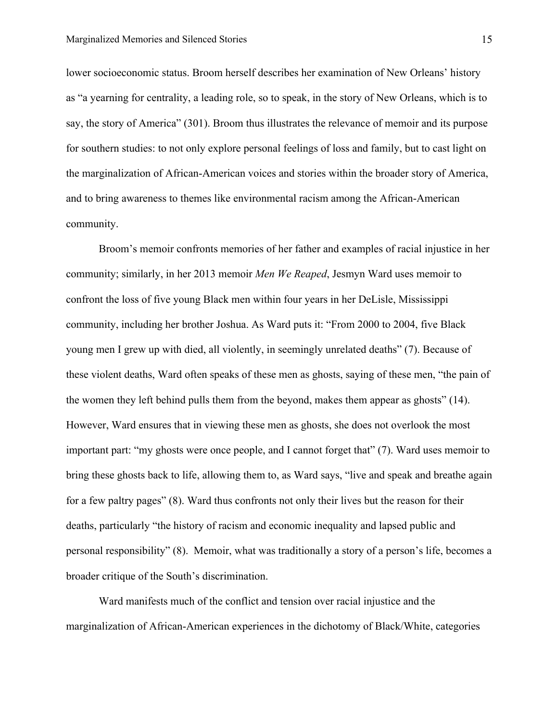lower socioeconomic status. Broom herself describes her examination of New Orleans' history as "a yearning for centrality, a leading role, so to speak, in the story of New Orleans, which is to say, the story of America" (301). Broom thus illustrates the relevance of memoir and its purpose for southern studies: to not only explore personal feelings of loss and family, but to cast light on the marginalization of African-American voices and stories within the broader story of America, and to bring awareness to themes like environmental racism among the African-American community.

Broom's memoir confronts memories of her father and examples of racial injustice in her community; similarly, in her 2013 memoir *Men We Reaped*, Jesmyn Ward uses memoir to confront the loss of five young Black men within four years in her DeLisle, Mississippi community, including her brother Joshua. As Ward puts it: "From 2000 to 2004, five Black young men I grew up with died, all violently, in seemingly unrelated deaths" (7). Because of these violent deaths, Ward often speaks of these men as ghosts, saying of these men, "the pain of the women they left behind pulls them from the beyond, makes them appear as ghosts" (14). However, Ward ensures that in viewing these men as ghosts, she does not overlook the most important part: "my ghosts were once people, and I cannot forget that" (7). Ward uses memoir to bring these ghosts back to life, allowing them to, as Ward says, "live and speak and breathe again for a few paltry pages" (8). Ward thus confronts not only their lives but the reason for their deaths, particularly "the history of racism and economic inequality and lapsed public and personal responsibility" (8). Memoir, what was traditionally a story of a person's life, becomes a broader critique of the South's discrimination.

Ward manifests much of the conflict and tension over racial injustice and the marginalization of African-American experiences in the dichotomy of Black/White, categories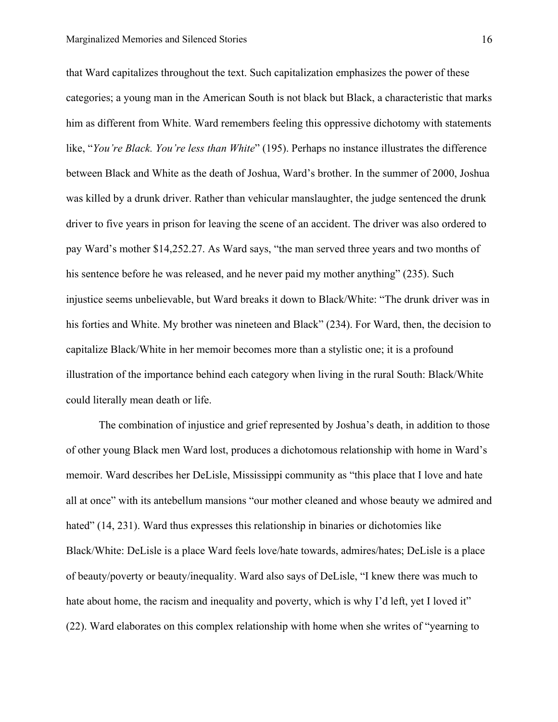that Ward capitalizes throughout the text. Such capitalization emphasizes the power of these categories; a young man in the American South is not black but Black, a characteristic that marks him as different from White. Ward remembers feeling this oppressive dichotomy with statements like, "*You're Black. You're less than White*" (195). Perhaps no instance illustrates the difference between Black and White as the death of Joshua, Ward's brother. In the summer of 2000, Joshua was killed by a drunk driver. Rather than vehicular manslaughter, the judge sentenced the drunk driver to five years in prison for leaving the scene of an accident. The driver was also ordered to pay Ward's mother \$14,252.27. As Ward says, "the man served three years and two months of his sentence before he was released, and he never paid my mother anything" (235). Such injustice seems unbelievable, but Ward breaks it down to Black/White: "The drunk driver was in his forties and White. My brother was nineteen and Black" (234). For Ward, then, the decision to capitalize Black/White in her memoir becomes more than a stylistic one; it is a profound illustration of the importance behind each category when living in the rural South: Black/White could literally mean death or life.

The combination of injustice and grief represented by Joshua's death, in addition to those of other young Black men Ward lost, produces a dichotomous relationship with home in Ward's memoir. Ward describes her DeLisle, Mississippi community as "this place that I love and hate all at once" with its antebellum mansions "our mother cleaned and whose beauty we admired and hated" (14, 231). Ward thus expresses this relationship in binaries or dichotomies like Black/White: DeLisle is a place Ward feels love/hate towards, admires/hates; DeLisle is a place of beauty/poverty or beauty/inequality. Ward also says of DeLisle, "I knew there was much to hate about home, the racism and inequality and poverty, which is why I'd left, yet I loved it" (22). Ward elaborates on this complex relationship with home when she writes of "yearning to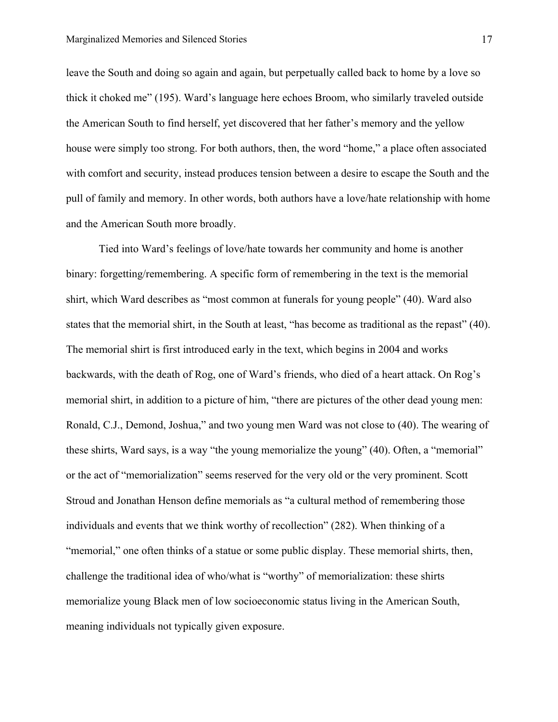leave the South and doing so again and again, but perpetually called back to home by a love so thick it choked me" (195). Ward's language here echoes Broom, who similarly traveled outside the American South to find herself, yet discovered that her father's memory and the yellow house were simply too strong. For both authors, then, the word "home," a place often associated with comfort and security, instead produces tension between a desire to escape the South and the pull of family and memory. In other words, both authors have a love/hate relationship with home and the American South more broadly.

Tied into Ward's feelings of love/hate towards her community and home is another binary: forgetting/remembering. A specific form of remembering in the text is the memorial shirt, which Ward describes as "most common at funerals for young people" (40). Ward also states that the memorial shirt, in the South at least, "has become as traditional as the repast" (40). The memorial shirt is first introduced early in the text, which begins in 2004 and works backwards, with the death of Rog, one of Ward's friends, who died of a heart attack. On Rog's memorial shirt, in addition to a picture of him, "there are pictures of the other dead young men: Ronald, C.J., Demond, Joshua," and two young men Ward was not close to (40). The wearing of these shirts, Ward says, is a way "the young memorialize the young" (40). Often, a "memorial" or the act of "memorialization" seems reserved for the very old or the very prominent. Scott Stroud and Jonathan Henson define memorials as "a cultural method of remembering those individuals and events that we think worthy of recollection" (282). When thinking of a "memorial," one often thinks of a statue or some public display. These memorial shirts, then, challenge the traditional idea of who/what is "worthy" of memorialization: these shirts memorialize young Black men of low socioeconomic status living in the American South, meaning individuals not typically given exposure.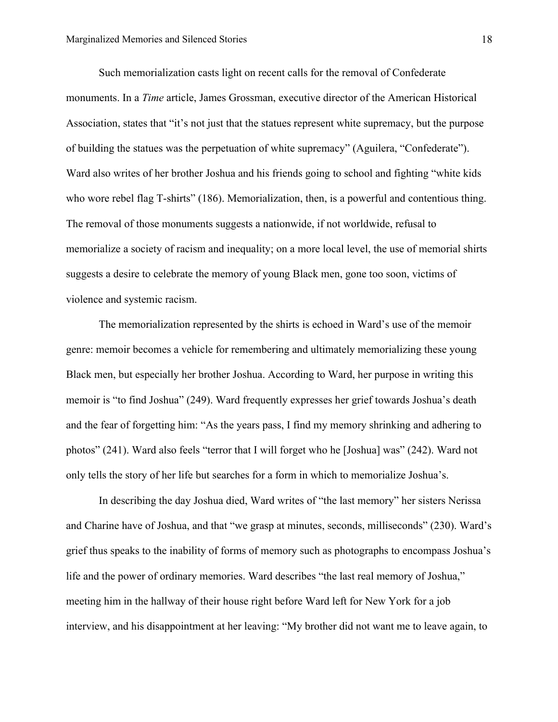Such memorialization casts light on recent calls for the removal of Confederate monuments. In a *Time* article, James Grossman, executive director of the American Historical Association, states that "it's not just that the statues represent white supremacy, but the purpose of building the statues was the perpetuation of white supremacy" (Aguilera, "Confederate"). Ward also writes of her brother Joshua and his friends going to school and fighting "white kids who wore rebel flag T-shirts" (186). Memorialization, then, is a powerful and contentious thing. The removal of those monuments suggests a nationwide, if not worldwide, refusal to memorialize a society of racism and inequality; on a more local level, the use of memorial shirts suggests a desire to celebrate the memory of young Black men, gone too soon, victims of violence and systemic racism.

The memorialization represented by the shirts is echoed in Ward's use of the memoir genre: memoir becomes a vehicle for remembering and ultimately memorializing these young Black men, but especially her brother Joshua. According to Ward, her purpose in writing this memoir is "to find Joshua" (249). Ward frequently expresses her grief towards Joshua's death and the fear of forgetting him: "As the years pass, I find my memory shrinking and adhering to photos" (241). Ward also feels "terror that I will forget who he [Joshua] was" (242). Ward not only tells the story of her life but searches for a form in which to memorialize Joshua's.

In describing the day Joshua died, Ward writes of "the last memory" her sisters Nerissa and Charine have of Joshua, and that "we grasp at minutes, seconds, milliseconds" (230). Ward's grief thus speaks to the inability of forms of memory such as photographs to encompass Joshua's life and the power of ordinary memories. Ward describes "the last real memory of Joshua," meeting him in the hallway of their house right before Ward left for New York for a job interview, and his disappointment at her leaving: "My brother did not want me to leave again, to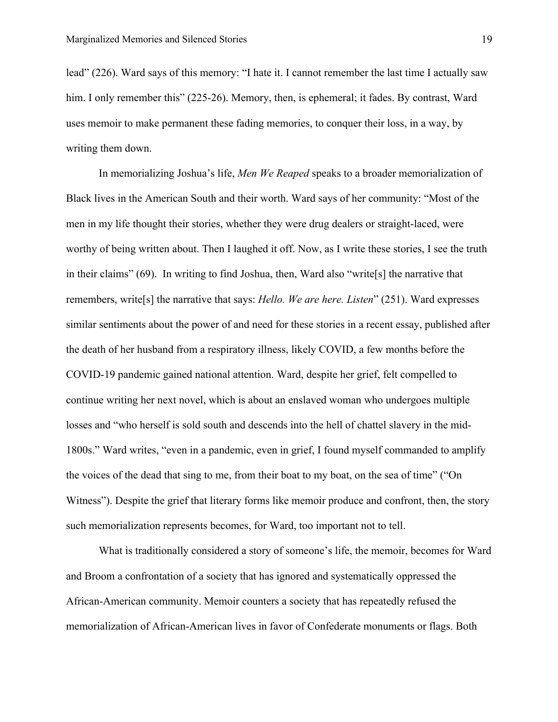lead" (226). Ward says of this memory: "I hate it. I cannot remember the last time I actually saw him. I only remember this" (225-26). Memory, then, is ephemeral; it fades. By contrast, Ward uses memoir to make permanent these fading memories, to conquer their loss, in a way, by writing them down.

In memorializing Joshua's life, *Men We Reaped* speaks to a broader memorialization of Black lives in the American South and their worth. Ward says of her community: "Most of the men in my life thought their stories, whether they were drug dealers or straight-laced, were worthy of being written about. Then I laughed it off. Now, as I write these stories, I see the truth in their claims" (69). In writing to find Joshua, then, Ward also "write[s] the narrative that remembers, write[s] the narrative that says: *Hello. We are here. Listen*" (251). Ward expresses similar sentiments about the power of and need for these stories in a recent essay, published after the death of her husband from a respiratory illness, likely COVID, a few months before the COVID-19 pandemic gained national attention. Ward, despite her grief, felt compelled to continue writing her next novel, which is about an enslaved woman who undergoes multiple losses and "who herself is sold south and descends into the hell of chattel slavery in the mid-1800s." Ward writes, "even in a pandemic, even in grief, I found myself commanded to amplify the voices of the dead that sing to me, from their boat to my boat, on the sea of time" ("On Witness"). Despite the grief that literary forms like memoir produce and confront, then, the story such memorialization represents becomes, for Ward, too important not to tell.

What is traditionally considered a story of someone's life, the memoir, becomes for Ward and Broom a confrontation of a society that has ignored and systematically oppressed the African-American community. Memoir counters a society that has repeatedly refused the memorialization of African-American lives in favor of Confederate monuments or flags. Both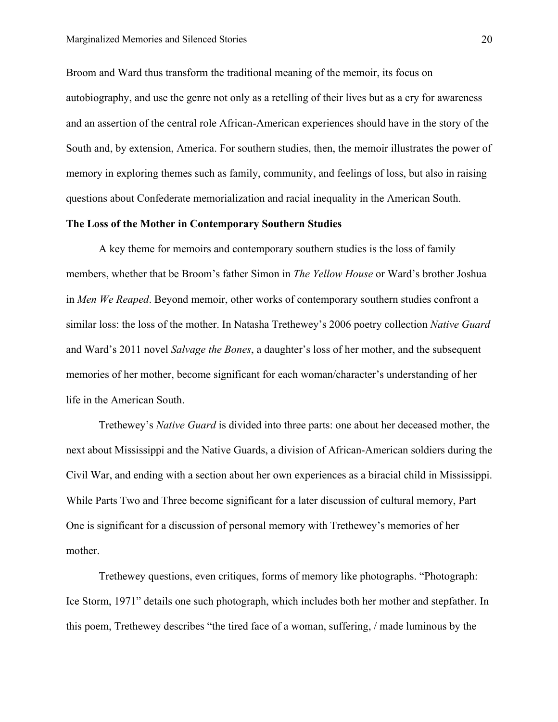Broom and Ward thus transform the traditional meaning of the memoir, its focus on autobiography, and use the genre not only as a retelling of their lives but as a cry for awareness and an assertion of the central role African-American experiences should have in the story of the South and, by extension, America. For southern studies, then, the memoir illustrates the power of memory in exploring themes such as family, community, and feelings of loss, but also in raising questions about Confederate memorialization and racial inequality in the American South.

#### **The Loss of the Mother in Contemporary Southern Studies**

A key theme for memoirs and contemporary southern studies is the loss of family members, whether that be Broom's father Simon in *The Yellow House* or Ward's brother Joshua in *Men We Reaped*. Beyond memoir, other works of contemporary southern studies confront a similar loss: the loss of the mother. In Natasha Trethewey's 2006 poetry collection *Native Guard*  and Ward's 2011 novel *Salvage the Bones*, a daughter's loss of her mother, and the subsequent memories of her mother, become significant for each woman/character's understanding of her life in the American South.

Trethewey's *Native Guard* is divided into three parts: one about her deceased mother, the next about Mississippi and the Native Guards, a division of African-American soldiers during the Civil War, and ending with a section about her own experiences as a biracial child in Mississippi. While Parts Two and Three become significant for a later discussion of cultural memory, Part One is significant for a discussion of personal memory with Trethewey's memories of her mother.

Trethewey questions, even critiques, forms of memory like photographs. "Photograph: Ice Storm, 1971" details one such photograph, which includes both her mother and stepfather. In this poem, Trethewey describes "the tired face of a woman, suffering, / made luminous by the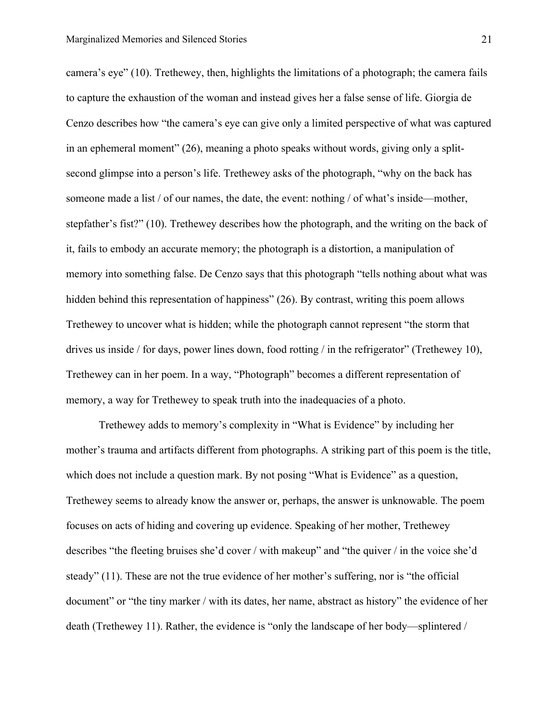camera's eye" (10). Trethewey, then, highlights the limitations of a photograph; the camera fails to capture the exhaustion of the woman and instead gives her a false sense of life. Giorgia de Cenzo describes how "the camera's eye can give only a limited perspective of what was captured in an ephemeral moment" (26), meaning a photo speaks without words, giving only a splitsecond glimpse into a person's life. Trethewey asks of the photograph, "why on the back has someone made a list / of our names, the date, the event: nothing / of what's inside—mother, stepfather's fist?" (10). Trethewey describes how the photograph, and the writing on the back of it, fails to embody an accurate memory; the photograph is a distortion, a manipulation of memory into something false. De Cenzo says that this photograph "tells nothing about what was hidden behind this representation of happiness" (26). By contrast, writing this poem allows Trethewey to uncover what is hidden; while the photograph cannot represent "the storm that drives us inside / for days, power lines down, food rotting / in the refrigerator" (Trethewey 10), Trethewey can in her poem. In a way, "Photograph" becomes a different representation of memory, a way for Trethewey to speak truth into the inadequacies of a photo.

Trethewey adds to memory's complexity in "What is Evidence" by including her mother's trauma and artifacts different from photographs. A striking part of this poem is the title, which does not include a question mark. By not posing "What is Evidence" as a question, Trethewey seems to already know the answer or, perhaps, the answer is unknowable. The poem focuses on acts of hiding and covering up evidence. Speaking of her mother, Trethewey describes "the fleeting bruises she'd cover / with makeup" and "the quiver / in the voice she'd steady" (11). These are not the true evidence of her mother's suffering, nor is "the official document" or "the tiny marker / with its dates, her name, abstract as history" the evidence of her death (Trethewey 11). Rather, the evidence is "only the landscape of her body—splintered /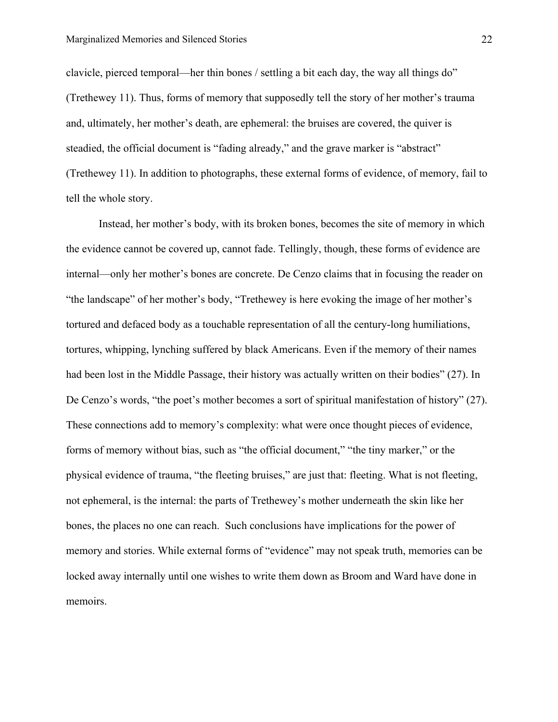clavicle, pierced temporal—her thin bones / settling a bit each day, the way all things do" (Trethewey 11). Thus, forms of memory that supposedly tell the story of her mother's trauma and, ultimately, her mother's death, are ephemeral: the bruises are covered, the quiver is steadied, the official document is "fading already," and the grave marker is "abstract" (Trethewey 11). In addition to photographs, these external forms of evidence, of memory, fail to tell the whole story.

Instead, her mother's body, with its broken bones, becomes the site of memory in which the evidence cannot be covered up, cannot fade. Tellingly, though, these forms of evidence are internal—only her mother's bones are concrete. De Cenzo claims that in focusing the reader on "the landscape" of her mother's body, "Trethewey is here evoking the image of her mother's tortured and defaced body as a touchable representation of all the century-long humiliations, tortures, whipping, lynching suffered by black Americans. Even if the memory of their names had been lost in the Middle Passage, their history was actually written on their bodies" (27). In De Cenzo's words, "the poet's mother becomes a sort of spiritual manifestation of history" (27). These connections add to memory's complexity: what were once thought pieces of evidence, forms of memory without bias, such as "the official document," "the tiny marker," or the physical evidence of trauma, "the fleeting bruises," are just that: fleeting. What is not fleeting, not ephemeral, is the internal: the parts of Trethewey's mother underneath the skin like her bones, the places no one can reach. Such conclusions have implications for the power of memory and stories. While external forms of "evidence" may not speak truth, memories can be locked away internally until one wishes to write them down as Broom and Ward have done in memoirs.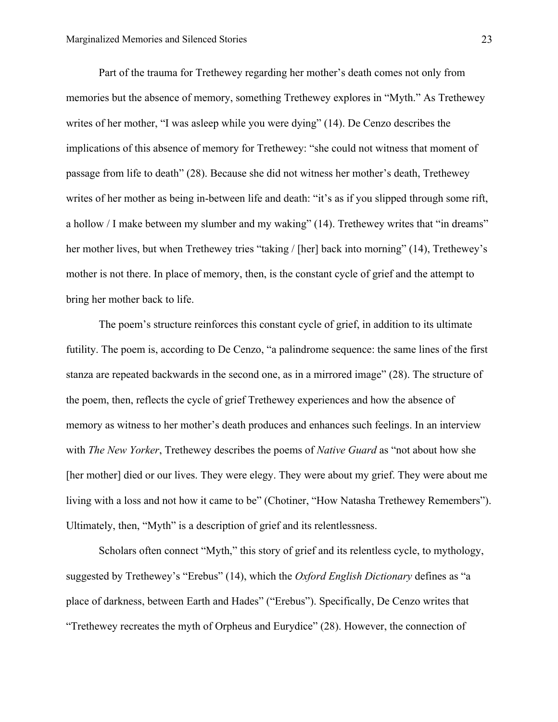Part of the trauma for Trethewey regarding her mother's death comes not only from memories but the absence of memory, something Trethewey explores in "Myth." As Trethewey writes of her mother, "I was asleep while you were dying" (14). De Cenzo describes the implications of this absence of memory for Trethewey: "she could not witness that moment of passage from life to death" (28). Because she did not witness her mother's death, Trethewey writes of her mother as being in-between life and death: "it's as if you slipped through some rift, a hollow / I make between my slumber and my waking" (14). Trethewey writes that "in dreams" her mother lives, but when Trethewey tries "taking / [her] back into morning" (14), Trethewey's mother is not there. In place of memory, then, is the constant cycle of grief and the attempt to bring her mother back to life.

The poem's structure reinforces this constant cycle of grief, in addition to its ultimate futility. The poem is, according to De Cenzo, "a palindrome sequence: the same lines of the first stanza are repeated backwards in the second one, as in a mirrored image" (28). The structure of the poem, then, reflects the cycle of grief Trethewey experiences and how the absence of memory as witness to her mother's death produces and enhances such feelings. In an interview with *The New Yorker*, Trethewey describes the poems of *Native Guard* as "not about how she [her mother] died or our lives. They were elegy. They were about my grief. They were about me living with a loss and not how it came to be" (Chotiner, "How Natasha Trethewey Remembers"). Ultimately, then, "Myth" is a description of grief and its relentlessness.

Scholars often connect "Myth," this story of grief and its relentless cycle, to mythology, suggested by Trethewey's "Erebus" (14), which the *Oxford English Dictionary* defines as "a place of darkness, between Earth and Hades" ("Erebus"). Specifically, De Cenzo writes that "Trethewey recreates the myth of Orpheus and Eurydice" (28). However, the connection of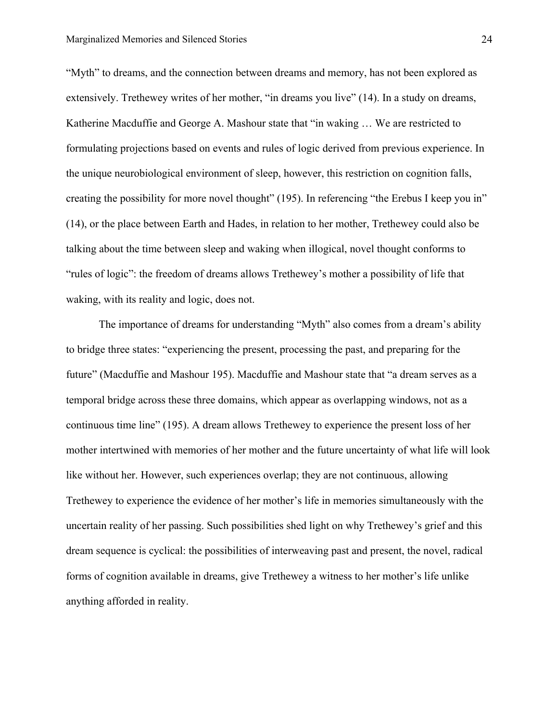"Myth" to dreams, and the connection between dreams and memory, has not been explored as extensively. Trethewey writes of her mother, "in dreams you live" (14). In a study on dreams, Katherine Macduffie and George A. Mashour state that "in waking … We are restricted to formulating projections based on events and rules of logic derived from previous experience. In the unique neurobiological environment of sleep, however, this restriction on cognition falls, creating the possibility for more novel thought" (195). In referencing "the Erebus I keep you in" (14), or the place between Earth and Hades, in relation to her mother, Trethewey could also be talking about the time between sleep and waking when illogical, novel thought conforms to "rules of logic": the freedom of dreams allows Trethewey's mother a possibility of life that waking, with its reality and logic, does not.

The importance of dreams for understanding "Myth" also comes from a dream's ability to bridge three states: "experiencing the present, processing the past, and preparing for the future" (Macduffie and Mashour 195). Macduffie and Mashour state that "a dream serves as a temporal bridge across these three domains, which appear as overlapping windows, not as a continuous time line" (195). A dream allows Trethewey to experience the present loss of her mother intertwined with memories of her mother and the future uncertainty of what life will look like without her. However, such experiences overlap; they are not continuous, allowing Trethewey to experience the evidence of her mother's life in memories simultaneously with the uncertain reality of her passing. Such possibilities shed light on why Trethewey's grief and this dream sequence is cyclical: the possibilities of interweaving past and present, the novel, radical forms of cognition available in dreams, give Trethewey a witness to her mother's life unlike anything afforded in reality.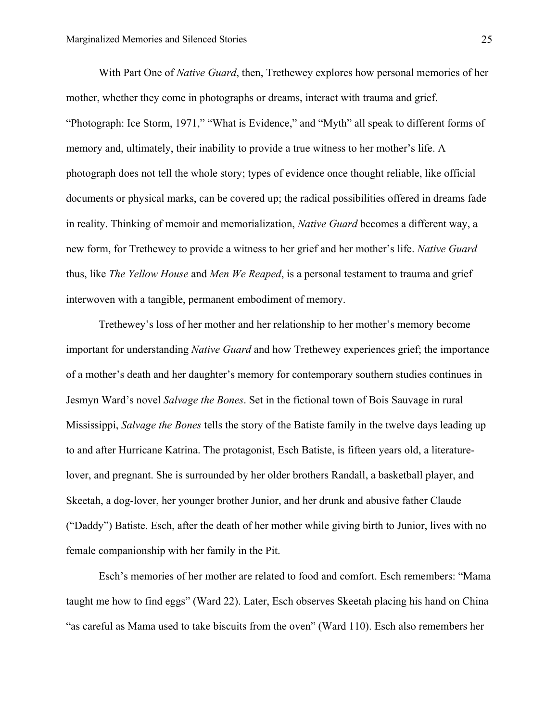With Part One of *Native Guard*, then, Trethewey explores how personal memories of her mother, whether they come in photographs or dreams, interact with trauma and grief. "Photograph: Ice Storm, 1971," "What is Evidence," and "Myth" all speak to different forms of memory and, ultimately, their inability to provide a true witness to her mother's life. A photograph does not tell the whole story; types of evidence once thought reliable, like official documents or physical marks, can be covered up; the radical possibilities offered in dreams fade in reality. Thinking of memoir and memorialization, *Native Guard* becomes a different way, a new form, for Trethewey to provide a witness to her grief and her mother's life. *Native Guard*  thus, like *The Yellow House* and *Men We Reaped*, is a personal testament to trauma and grief interwoven with a tangible, permanent embodiment of memory.

Trethewey's loss of her mother and her relationship to her mother's memory become important for understanding *Native Guard* and how Trethewey experiences grief; the importance of a mother's death and her daughter's memory for contemporary southern studies continues in Jesmyn Ward's novel *Salvage the Bones*. Set in the fictional town of Bois Sauvage in rural Mississippi, *Salvage the Bones* tells the story of the Batiste family in the twelve days leading up to and after Hurricane Katrina. The protagonist, Esch Batiste, is fifteen years old, a literaturelover, and pregnant. She is surrounded by her older brothers Randall, a basketball player, and Skeetah, a dog-lover, her younger brother Junior, and her drunk and abusive father Claude ("Daddy") Batiste. Esch, after the death of her mother while giving birth to Junior, lives with no female companionship with her family in the Pit.

Esch's memories of her mother are related to food and comfort. Esch remembers: "Mama taught me how to find eggs" (Ward 22). Later, Esch observes Skeetah placing his hand on China "as careful as Mama used to take biscuits from the oven" (Ward 110). Esch also remembers her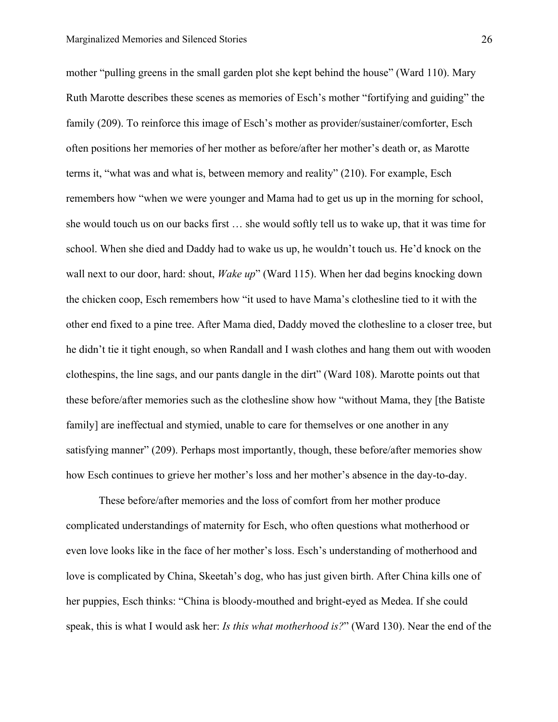mother "pulling greens in the small garden plot she kept behind the house" (Ward 110). Mary Ruth Marotte describes these scenes as memories of Esch's mother "fortifying and guiding" the family (209). To reinforce this image of Esch's mother as provider/sustainer/comforter, Esch often positions her memories of her mother as before/after her mother's death or, as Marotte terms it, "what was and what is, between memory and reality" (210). For example, Esch remembers how "when we were younger and Mama had to get us up in the morning for school, she would touch us on our backs first … she would softly tell us to wake up, that it was time for school. When she died and Daddy had to wake us up, he wouldn't touch us. He'd knock on the wall next to our door, hard: shout, *Wake up*" (Ward 115). When her dad begins knocking down the chicken coop, Esch remembers how "it used to have Mama's clothesline tied to it with the other end fixed to a pine tree. After Mama died, Daddy moved the clothesline to a closer tree, but he didn't tie it tight enough, so when Randall and I wash clothes and hang them out with wooden clothespins, the line sags, and our pants dangle in the dirt" (Ward 108). Marotte points out that these before/after memories such as the clothesline show how "without Mama, they [the Batiste family] are ineffectual and stymied, unable to care for themselves or one another in any satisfying manner" (209). Perhaps most importantly, though, these before/after memories show how Esch continues to grieve her mother's loss and her mother's absence in the day-to-day.

These before/after memories and the loss of comfort from her mother produce complicated understandings of maternity for Esch, who often questions what motherhood or even love looks like in the face of her mother's loss. Esch's understanding of motherhood and love is complicated by China, Skeetah's dog, who has just given birth. After China kills one of her puppies, Esch thinks: "China is bloody-mouthed and bright-eyed as Medea. If she could speak, this is what I would ask her: *Is this what motherhood is?*" (Ward 130). Near the end of the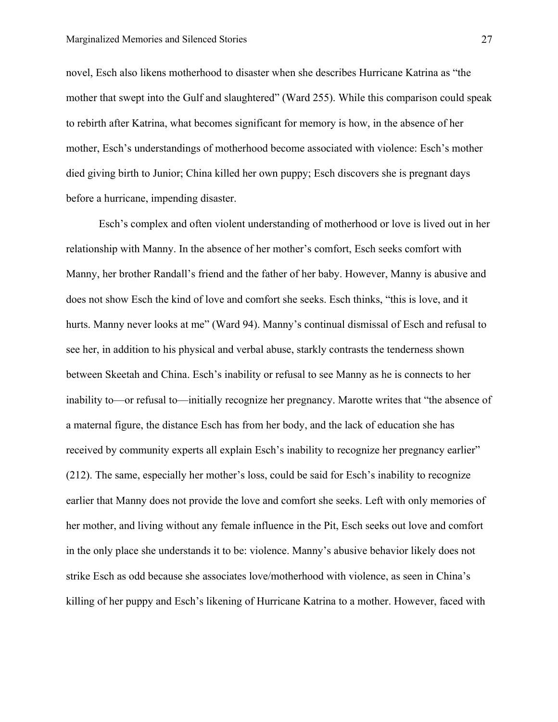novel, Esch also likens motherhood to disaster when she describes Hurricane Katrina as "the mother that swept into the Gulf and slaughtered" (Ward 255). While this comparison could speak to rebirth after Katrina, what becomes significant for memory is how, in the absence of her mother, Esch's understandings of motherhood become associated with violence: Esch's mother died giving birth to Junior; China killed her own puppy; Esch discovers she is pregnant days before a hurricane, impending disaster.

Esch's complex and often violent understanding of motherhood or love is lived out in her relationship with Manny. In the absence of her mother's comfort, Esch seeks comfort with Manny, her brother Randall's friend and the father of her baby. However, Manny is abusive and does not show Esch the kind of love and comfort she seeks. Esch thinks, "this is love, and it hurts. Manny never looks at me" (Ward 94). Manny's continual dismissal of Esch and refusal to see her, in addition to his physical and verbal abuse, starkly contrasts the tenderness shown between Skeetah and China. Esch's inability or refusal to see Manny as he is connects to her inability to—or refusal to—initially recognize her pregnancy. Marotte writes that "the absence of a maternal figure, the distance Esch has from her body, and the lack of education she has received by community experts all explain Esch's inability to recognize her pregnancy earlier" (212). The same, especially her mother's loss, could be said for Esch's inability to recognize earlier that Manny does not provide the love and comfort she seeks. Left with only memories of her mother, and living without any female influence in the Pit, Esch seeks out love and comfort in the only place she understands it to be: violence. Manny's abusive behavior likely does not strike Esch as odd because she associates love/motherhood with violence, as seen in China's killing of her puppy and Esch's likening of Hurricane Katrina to a mother. However, faced with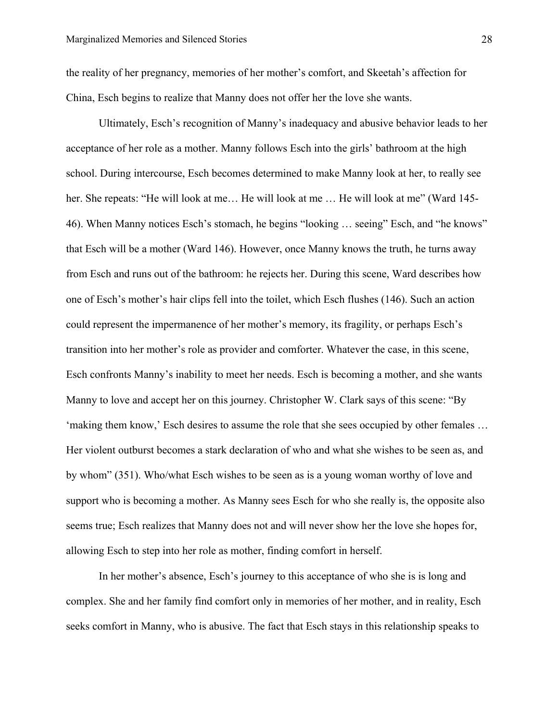the reality of her pregnancy, memories of her mother's comfort, and Skeetah's affection for China, Esch begins to realize that Manny does not offer her the love she wants.

Ultimately, Esch's recognition of Manny's inadequacy and abusive behavior leads to her acceptance of her role as a mother. Manny follows Esch into the girls' bathroom at the high school. During intercourse, Esch becomes determined to make Manny look at her, to really see her. She repeats: "He will look at me... He will look at me ... He will look at me" (Ward 145-46). When Manny notices Esch's stomach, he begins "looking … seeing" Esch, and "he knows" that Esch will be a mother (Ward 146). However, once Manny knows the truth, he turns away from Esch and runs out of the bathroom: he rejects her. During this scene, Ward describes how one of Esch's mother's hair clips fell into the toilet, which Esch flushes (146). Such an action could represent the impermanence of her mother's memory, its fragility, or perhaps Esch's transition into her mother's role as provider and comforter. Whatever the case, in this scene, Esch confronts Manny's inability to meet her needs. Esch is becoming a mother, and she wants Manny to love and accept her on this journey. Christopher W. Clark says of this scene: "By 'making them know,' Esch desires to assume the role that she sees occupied by other females … Her violent outburst becomes a stark declaration of who and what she wishes to be seen as, and by whom" (351). Who/what Esch wishes to be seen as is a young woman worthy of love and support who is becoming a mother. As Manny sees Esch for who she really is, the opposite also seems true; Esch realizes that Manny does not and will never show her the love she hopes for, allowing Esch to step into her role as mother, finding comfort in herself.

In her mother's absence, Esch's journey to this acceptance of who she is is long and complex. She and her family find comfort only in memories of her mother, and in reality, Esch seeks comfort in Manny, who is abusive. The fact that Esch stays in this relationship speaks to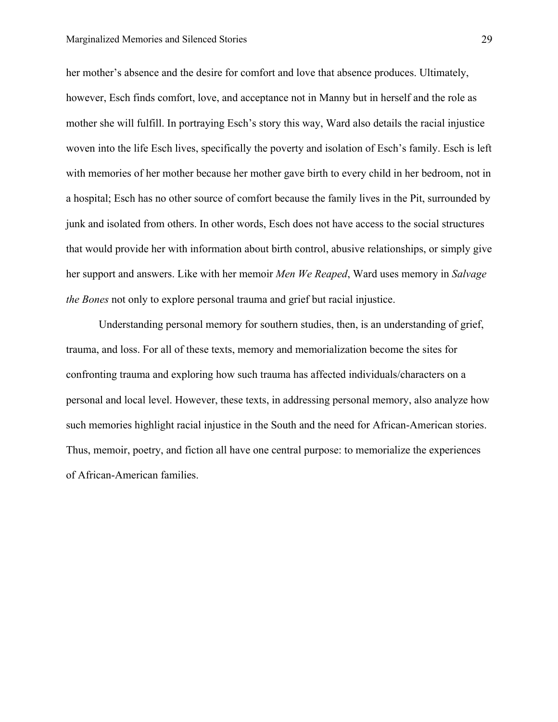her mother's absence and the desire for comfort and love that absence produces. Ultimately, however, Esch finds comfort, love, and acceptance not in Manny but in herself and the role as mother she will fulfill. In portraying Esch's story this way, Ward also details the racial injustice woven into the life Esch lives, specifically the poverty and isolation of Esch's family. Esch is left with memories of her mother because her mother gave birth to every child in her bedroom, not in a hospital; Esch has no other source of comfort because the family lives in the Pit, surrounded by junk and isolated from others. In other words, Esch does not have access to the social structures that would provide her with information about birth control, abusive relationships, or simply give her support and answers. Like with her memoir *Men We Reaped*, Ward uses memory in *Salvage the Bones* not only to explore personal trauma and grief but racial injustice.

Understanding personal memory for southern studies, then, is an understanding of grief, trauma, and loss. For all of these texts, memory and memorialization become the sites for confronting trauma and exploring how such trauma has affected individuals/characters on a personal and local level. However, these texts, in addressing personal memory, also analyze how such memories highlight racial injustice in the South and the need for African-American stories. Thus, memoir, poetry, and fiction all have one central purpose: to memorialize the experiences of African-American families.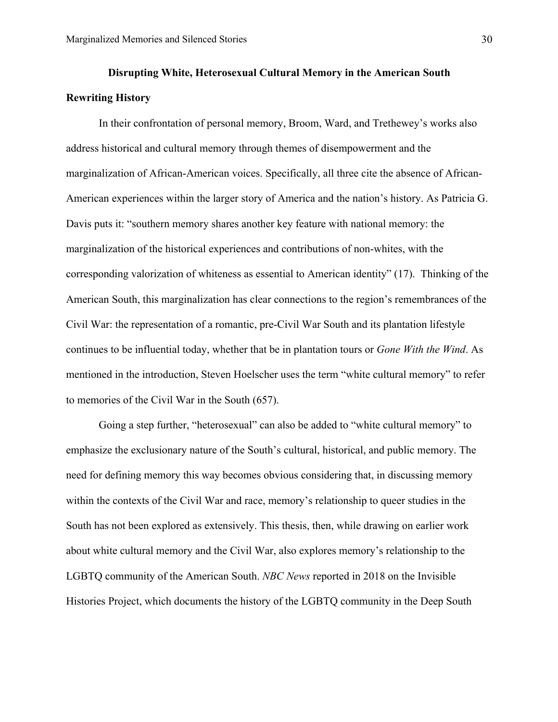## **Disrupting White, Heterosexual Cultural Memory in the American South Rewriting History**

In their confrontation of personal memory, Broom, Ward, and Trethewey's works also address historical and cultural memory through themes of disempowerment and the marginalization of African-American voices. Specifically, all three cite the absence of African-American experiences within the larger story of America and the nation's history. As Patricia G. Davis puts it: "southern memory shares another key feature with national memory: the marginalization of the historical experiences and contributions of non-whites, with the corresponding valorization of whiteness as essential to American identity" (17). Thinking of the American South, this marginalization has clear connections to the region's remembrances of the Civil War: the representation of a romantic, pre-Civil War South and its plantation lifestyle continues to be influential today, whether that be in plantation tours or *Gone With the Wind*. As mentioned in the introduction, Steven Hoelscher uses the term "white cultural memory" to refer to memories of the Civil War in the South (657).

Going a step further, "heterosexual" can also be added to "white cultural memory" to emphasize the exclusionary nature of the South's cultural, historical, and public memory. The need for defining memory this way becomes obvious considering that, in discussing memory within the contexts of the Civil War and race, memory's relationship to queer studies in the South has not been explored as extensively. This thesis, then, while drawing on earlier work about white cultural memory and the Civil War, also explores memory's relationship to the LGBTQ community of the American South. *NBC News* reported in 2018 on the Invisible Histories Project, which documents the history of the LGBTQ community in the Deep South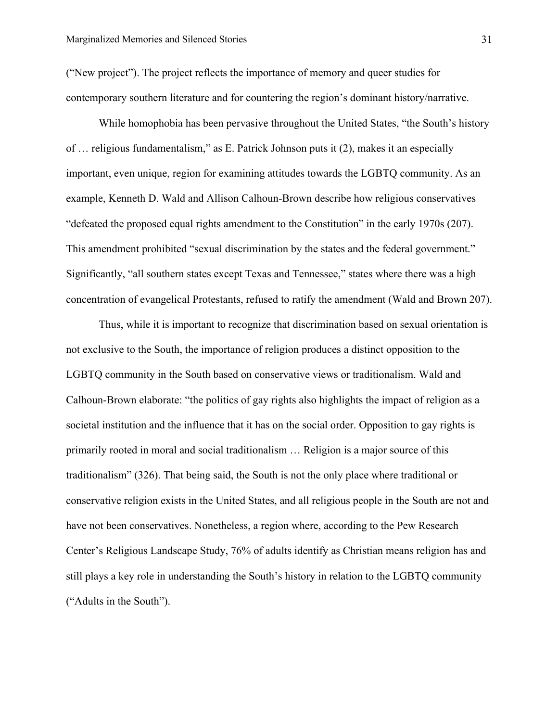("New project"). The project reflects the importance of memory and queer studies for contemporary southern literature and for countering the region's dominant history/narrative.

While homophobia has been pervasive throughout the United States, "the South's history of … religious fundamentalism," as E. Patrick Johnson puts it (2), makes it an especially important, even unique, region for examining attitudes towards the LGBTQ community. As an example, Kenneth D. Wald and Allison Calhoun-Brown describe how religious conservatives "defeated the proposed equal rights amendment to the Constitution" in the early 1970s (207). This amendment prohibited "sexual discrimination by the states and the federal government." Significantly, "all southern states except Texas and Tennessee," states where there was a high concentration of evangelical Protestants, refused to ratify the amendment (Wald and Brown 207).

Thus, while it is important to recognize that discrimination based on sexual orientation is not exclusive to the South, the importance of religion produces a distinct opposition to the LGBTQ community in the South based on conservative views or traditionalism. Wald and Calhoun-Brown elaborate: "the politics of gay rights also highlights the impact of religion as a societal institution and the influence that it has on the social order. Opposition to gay rights is primarily rooted in moral and social traditionalism … Religion is a major source of this traditionalism" (326). That being said, the South is not the only place where traditional or conservative religion exists in the United States, and all religious people in the South are not and have not been conservatives. Nonetheless, a region where, according to the Pew Research Center's Religious Landscape Study, 76% of adults identify as Christian means religion has and still plays a key role in understanding the South's history in relation to the LGBTQ community ("Adults in the South").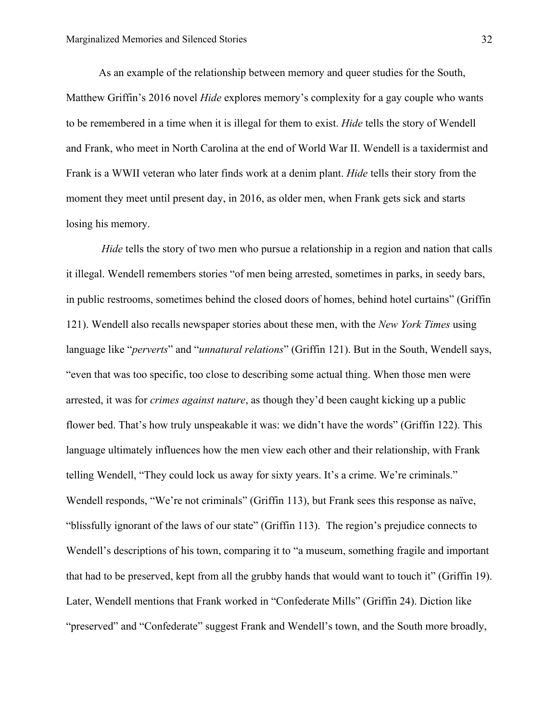As an example of the relationship between memory and queer studies for the South, Matthew Griffin's 2016 novel *Hide* explores memory's complexity for a gay couple who wants to be remembered in a time when it is illegal for them to exist. *Hide* tells the story of Wendell and Frank, who meet in North Carolina at the end of World War II. Wendell is a taxidermist and Frank is a WWII veteran who later finds work at a denim plant. *Hide* tells their story from the moment they meet until present day, in 2016, as older men, when Frank gets sick and starts losing his memory.

*Hide* tells the story of two men who pursue a relationship in a region and nation that calls it illegal. Wendell remembers stories "of men being arrested, sometimes in parks, in seedy bars, in public restrooms, sometimes behind the closed doors of homes, behind hotel curtains" (Griffin 121). Wendell also recalls newspaper stories about these men, with the *New York Times* using language like "*perverts*" and "*unnatural relations*" (Griffin 121). But in the South, Wendell says, "even that was too specific, too close to describing some actual thing. When those men were arrested, it was for *crimes against nature*, as though they'd been caught kicking up a public flower bed. That's how truly unspeakable it was: we didn't have the words" (Griffin 122). This language ultimately influences how the men view each other and their relationship, with Frank telling Wendell, "They could lock us away for sixty years. It's a crime. We're criminals." Wendell responds, "We're not criminals" (Griffin 113), but Frank sees this response as naïve, "blissfully ignorant of the laws of our state" (Griffin 113). The region's prejudice connects to Wendell's descriptions of his town, comparing it to "a museum, something fragile and important that had to be preserved, kept from all the grubby hands that would want to touch it" (Griffin 19). Later, Wendell mentions that Frank worked in "Confederate Mills" (Griffin 24). Diction like "preserved" and "Confederate" suggest Frank and Wendell's town, and the South more broadly,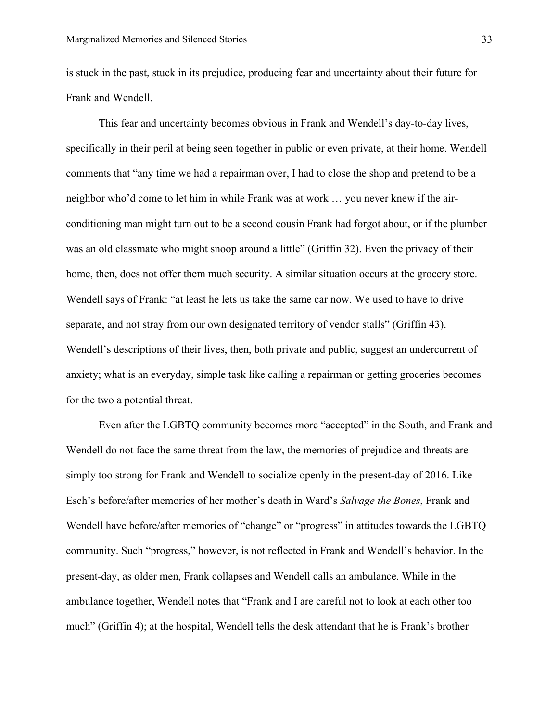is stuck in the past, stuck in its prejudice, producing fear and uncertainty about their future for Frank and Wendell.

This fear and uncertainty becomes obvious in Frank and Wendell's day-to-day lives, specifically in their peril at being seen together in public or even private, at their home. Wendell comments that "any time we had a repairman over, I had to close the shop and pretend to be a neighbor who'd come to let him in while Frank was at work … you never knew if the airconditioning man might turn out to be a second cousin Frank had forgot about, or if the plumber was an old classmate who might snoop around a little" (Griffin 32). Even the privacy of their home, then, does not offer them much security. A similar situation occurs at the grocery store. Wendell says of Frank: "at least he lets us take the same car now. We used to have to drive separate, and not stray from our own designated territory of vendor stalls" (Griffin 43). Wendell's descriptions of their lives, then, both private and public, suggest an undercurrent of anxiety; what is an everyday, simple task like calling a repairman or getting groceries becomes for the two a potential threat.

Even after the LGBTQ community becomes more "accepted" in the South, and Frank and Wendell do not face the same threat from the law, the memories of prejudice and threats are simply too strong for Frank and Wendell to socialize openly in the present-day of 2016. Like Esch's before/after memories of her mother's death in Ward's *Salvage the Bones*, Frank and Wendell have before/after memories of "change" or "progress" in attitudes towards the LGBTQ community. Such "progress," however, is not reflected in Frank and Wendell's behavior. In the present-day, as older men, Frank collapses and Wendell calls an ambulance. While in the ambulance together, Wendell notes that "Frank and I are careful not to look at each other too much" (Griffin 4); at the hospital, Wendell tells the desk attendant that he is Frank's brother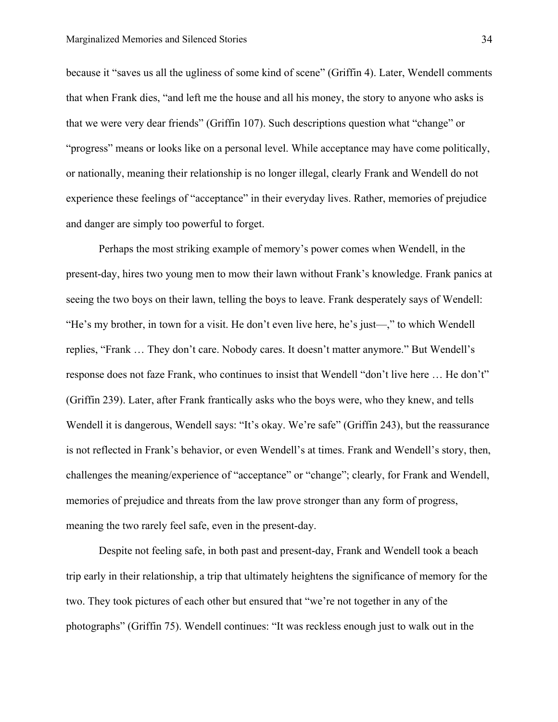because it "saves us all the ugliness of some kind of scene" (Griffin 4). Later, Wendell comments that when Frank dies, "and left me the house and all his money, the story to anyone who asks is that we were very dear friends" (Griffin 107). Such descriptions question what "change" or "progress" means or looks like on a personal level. While acceptance may have come politically, or nationally, meaning their relationship is no longer illegal, clearly Frank and Wendell do not experience these feelings of "acceptance" in their everyday lives. Rather, memories of prejudice and danger are simply too powerful to forget.

Perhaps the most striking example of memory's power comes when Wendell, in the present-day, hires two young men to mow their lawn without Frank's knowledge. Frank panics at seeing the two boys on their lawn, telling the boys to leave. Frank desperately says of Wendell: "He's my brother, in town for a visit. He don't even live here, he's just—," to which Wendell replies, "Frank … They don't care. Nobody cares. It doesn't matter anymore." But Wendell's response does not faze Frank, who continues to insist that Wendell "don't live here … He don't" (Griffin 239). Later, after Frank frantically asks who the boys were, who they knew, and tells Wendell it is dangerous, Wendell says: "It's okay. We're safe" (Griffin 243), but the reassurance is not reflected in Frank's behavior, or even Wendell's at times. Frank and Wendell's story, then, challenges the meaning/experience of "acceptance" or "change"; clearly, for Frank and Wendell, memories of prejudice and threats from the law prove stronger than any form of progress, meaning the two rarely feel safe, even in the present-day.

Despite not feeling safe, in both past and present-day, Frank and Wendell took a beach trip early in their relationship, a trip that ultimately heightens the significance of memory for the two. They took pictures of each other but ensured that "we're not together in any of the photographs" (Griffin 75). Wendell continues: "It was reckless enough just to walk out in the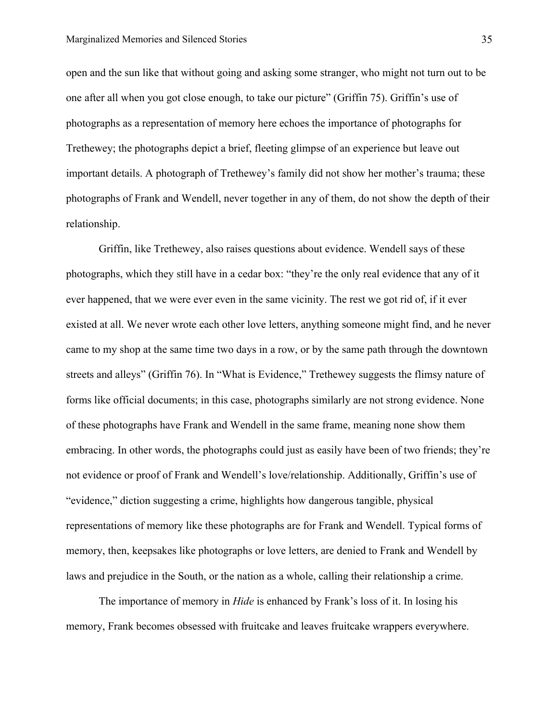open and the sun like that without going and asking some stranger, who might not turn out to be one after all when you got close enough, to take our picture" (Griffin 75). Griffin's use of photographs as a representation of memory here echoes the importance of photographs for Trethewey; the photographs depict a brief, fleeting glimpse of an experience but leave out important details. A photograph of Trethewey's family did not show her mother's trauma; these photographs of Frank and Wendell, never together in any of them, do not show the depth of their relationship.

Griffin, like Trethewey, also raises questions about evidence. Wendell says of these photographs, which they still have in a cedar box: "they're the only real evidence that any of it ever happened, that we were ever even in the same vicinity. The rest we got rid of, if it ever existed at all. We never wrote each other love letters, anything someone might find, and he never came to my shop at the same time two days in a row, or by the same path through the downtown streets and alleys" (Griffin 76). In "What is Evidence," Trethewey suggests the flimsy nature of forms like official documents; in this case, photographs similarly are not strong evidence. None of these photographs have Frank and Wendell in the same frame, meaning none show them embracing. In other words, the photographs could just as easily have been of two friends; they're not evidence or proof of Frank and Wendell's love/relationship. Additionally, Griffin's use of "evidence," diction suggesting a crime, highlights how dangerous tangible, physical representations of memory like these photographs are for Frank and Wendell. Typical forms of memory, then, keepsakes like photographs or love letters, are denied to Frank and Wendell by laws and prejudice in the South, or the nation as a whole, calling their relationship a crime.

The importance of memory in *Hide* is enhanced by Frank's loss of it. In losing his memory, Frank becomes obsessed with fruitcake and leaves fruitcake wrappers everywhere.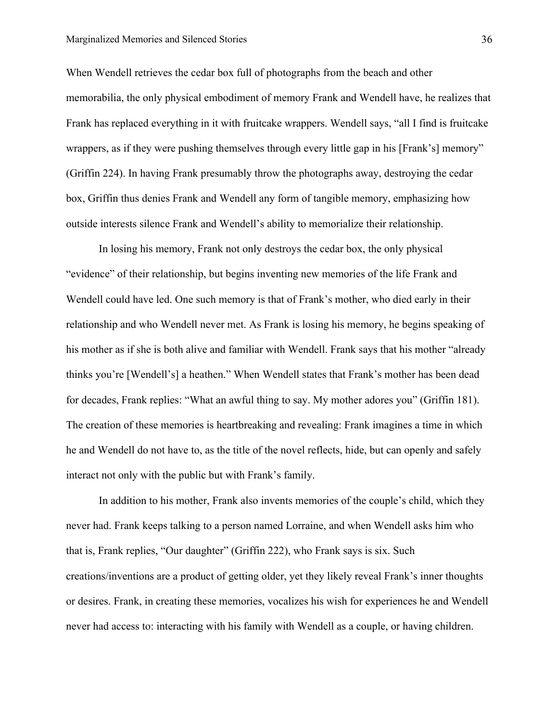When Wendell retrieves the cedar box full of photographs from the beach and other memorabilia, the only physical embodiment of memory Frank and Wendell have, he realizes that Frank has replaced everything in it with fruitcake wrappers. Wendell says, "all I find is fruitcake wrappers, as if they were pushing themselves through every little gap in his [Frank's] memory" (Griffin 224). In having Frank presumably throw the photographs away, destroying the cedar box, Griffin thus denies Frank and Wendell any form of tangible memory, emphasizing how outside interests silence Frank and Wendell's ability to memorialize their relationship.

In losing his memory, Frank not only destroys the cedar box, the only physical "evidence" of their relationship, but begins inventing new memories of the life Frank and Wendell could have led. One such memory is that of Frank's mother, who died early in their relationship and who Wendell never met. As Frank is losing his memory, he begins speaking of his mother as if she is both alive and familiar with Wendell. Frank says that his mother "already thinks you're [Wendell's] a heathen." When Wendell states that Frank's mother has been dead for decades, Frank replies: "What an awful thing to say. My mother adores you" (Griffin 181). The creation of these memories is heartbreaking and revealing: Frank imagines a time in which he and Wendell do not have to, as the title of the novel reflects, hide, but can openly and safely interact not only with the public but with Frank's family.

In addition to his mother, Frank also invents memories of the couple's child, which they never had. Frank keeps talking to a person named Lorraine, and when Wendell asks him who that is, Frank replies, "Our daughter" (Griffin 222), who Frank says is six. Such creations/inventions are a product of getting older, yet they likely reveal Frank's inner thoughts or desires. Frank, in creating these memories, vocalizes his wish for experiences he and Wendell never had access to: interacting with his family with Wendell as a couple, or having children.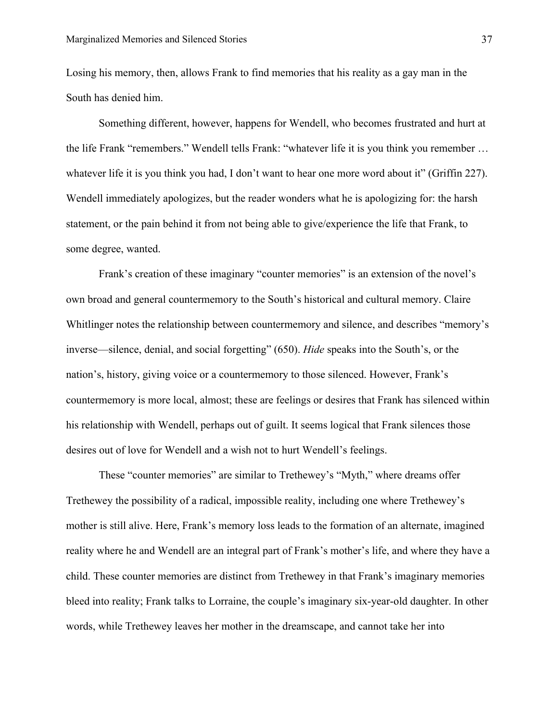Losing his memory, then, allows Frank to find memories that his reality as a gay man in the South has denied him.

Something different, however, happens for Wendell, who becomes frustrated and hurt at the life Frank "remembers." Wendell tells Frank: "whatever life it is you think you remember … whatever life it is you think you had, I don't want to hear one more word about it" (Griffin 227). Wendell immediately apologizes, but the reader wonders what he is apologizing for: the harsh statement, or the pain behind it from not being able to give/experience the life that Frank, to some degree, wanted.

Frank's creation of these imaginary "counter memories" is an extension of the novel's own broad and general countermemory to the South's historical and cultural memory. Claire Whitlinger notes the relationship between countermemory and silence, and describes "memory's inverse—silence, denial, and social forgetting" (650). *Hide* speaks into the South's, or the nation's, history, giving voice or a countermemory to those silenced. However, Frank's countermemory is more local, almost; these are feelings or desires that Frank has silenced within his relationship with Wendell, perhaps out of guilt. It seems logical that Frank silences those desires out of love for Wendell and a wish not to hurt Wendell's feelings.

These "counter memories" are similar to Trethewey's "Myth," where dreams offer Trethewey the possibility of a radical, impossible reality, including one where Trethewey's mother is still alive. Here, Frank's memory loss leads to the formation of an alternate, imagined reality where he and Wendell are an integral part of Frank's mother's life, and where they have a child. These counter memories are distinct from Trethewey in that Frank's imaginary memories bleed into reality; Frank talks to Lorraine, the couple's imaginary six-year-old daughter. In other words, while Trethewey leaves her mother in the dreamscape, and cannot take her into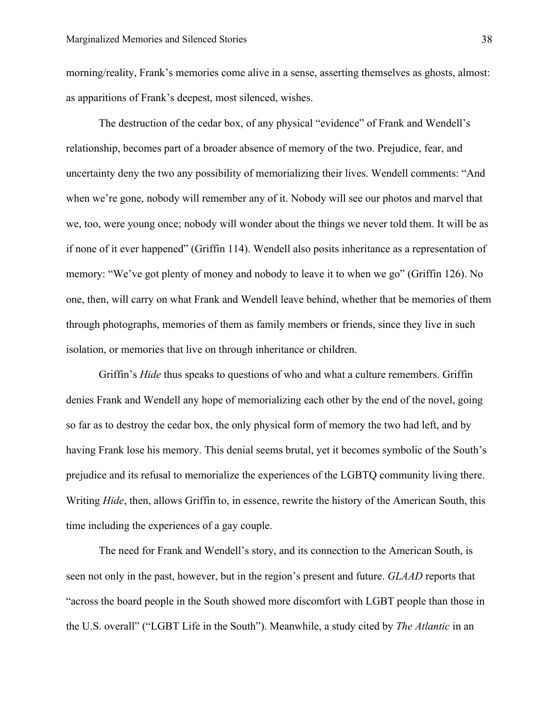morning/reality, Frank's memories come alive in a sense, asserting themselves as ghosts, almost: as apparitions of Frank's deepest, most silenced, wishes.

The destruction of the cedar box, of any physical "evidence" of Frank and Wendell's relationship, becomes part of a broader absence of memory of the two. Prejudice, fear, and uncertainty deny the two any possibility of memorializing their lives. Wendell comments: "And when we're gone, nobody will remember any of it. Nobody will see our photos and marvel that we, too, were young once; nobody will wonder about the things we never told them. It will be as if none of it ever happened" (Griffin 114). Wendell also posits inheritance as a representation of memory: "We've got plenty of money and nobody to leave it to when we go" (Griffin 126). No one, then, will carry on what Frank and Wendell leave behind, whether that be memories of them through photographs, memories of them as family members or friends, since they live in such isolation, or memories that live on through inheritance or children.

Griffin's *Hide* thus speaks to questions of who and what a culture remembers. Griffin denies Frank and Wendell any hope of memorializing each other by the end of the novel, going so far as to destroy the cedar box, the only physical form of memory the two had left, and by having Frank lose his memory. This denial seems brutal, yet it becomes symbolic of the South's prejudice and its refusal to memorialize the experiences of the LGBTQ community living there. Writing *Hide*, then, allows Griffin to, in essence, rewrite the history of the American South, this time including the experiences of a gay couple.

The need for Frank and Wendell's story, and its connection to the American South, is seen not only in the past, however, but in the region's present and future. *GLAAD* reports that "across the board people in the South showed more discomfort with LGBT people than those in the U.S. overall" ("LGBT Life in the South"). Meanwhile, a study cited by *The Atlantic* in an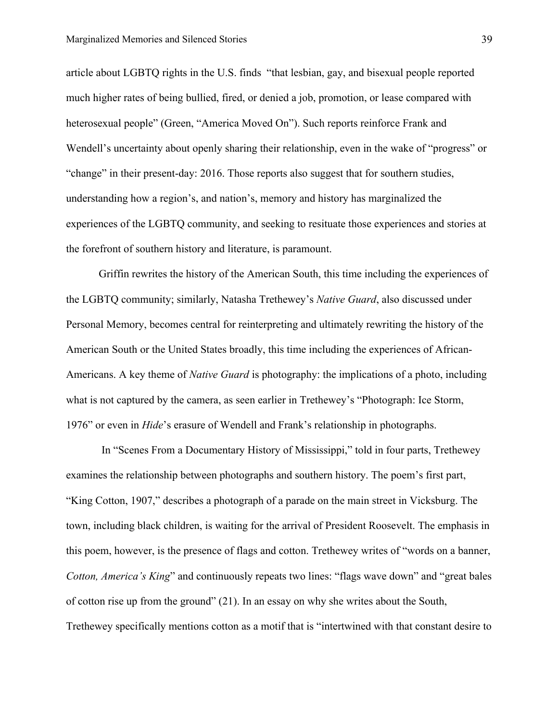article about LGBTQ rights in the U.S. finds "that lesbian, gay, and bisexual people reported much higher rates of being bullied, fired, or denied a job, promotion, or lease compared with heterosexual people" (Green, "America Moved On"). Such reports reinforce Frank and Wendell's uncertainty about openly sharing their relationship, even in the wake of "progress" or "change" in their present-day: 2016. Those reports also suggest that for southern studies, understanding how a region's, and nation's, memory and history has marginalized the experiences of the LGBTQ community, and seeking to resituate those experiences and stories at the forefront of southern history and literature, is paramount.

Griffin rewrites the history of the American South, this time including the experiences of the LGBTQ community; similarly, Natasha Trethewey's *Native Guard*, also discussed under Personal Memory, becomes central for reinterpreting and ultimately rewriting the history of the American South or the United States broadly, this time including the experiences of African-Americans. A key theme of *Native Guard* is photography: the implications of a photo, including what is not captured by the camera, as seen earlier in Trethewey's "Photograph: Ice Storm, 1976" or even in *Hide*'s erasure of Wendell and Frank's relationship in photographs.

In "Scenes From a Documentary History of Mississippi," told in four parts, Trethewey examines the relationship between photographs and southern history. The poem's first part, "King Cotton, 1907," describes a photograph of a parade on the main street in Vicksburg. The town, including black children, is waiting for the arrival of President Roosevelt. The emphasis in this poem, however, is the presence of flags and cotton. Trethewey writes of "words on a banner, *Cotton, America's King*" and continuously repeats two lines: "flags wave down" and "great bales of cotton rise up from the ground" (21). In an essay on why she writes about the South, Trethewey specifically mentions cotton as a motif that is "intertwined with that constant desire to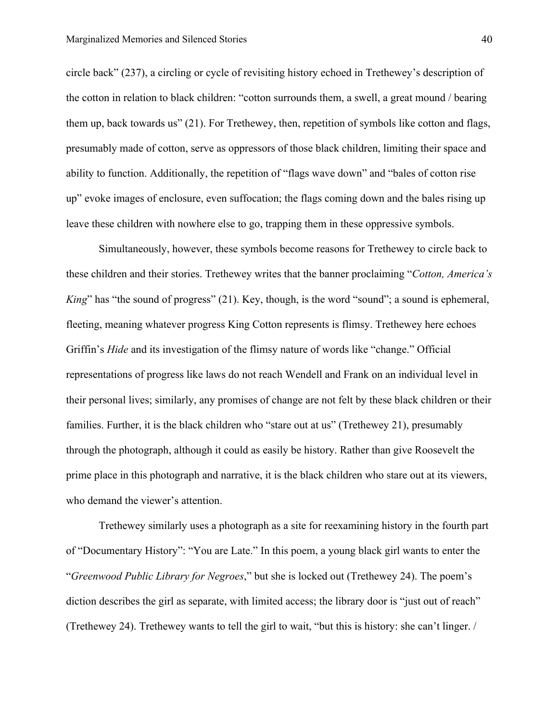circle back" (237), a circling or cycle of revisiting history echoed in Trethewey's description of the cotton in relation to black children: "cotton surrounds them, a swell, a great mound / bearing them up, back towards us" (21). For Trethewey, then, repetition of symbols like cotton and flags, presumably made of cotton, serve as oppressors of those black children, limiting their space and ability to function. Additionally, the repetition of "flags wave down" and "bales of cotton rise up" evoke images of enclosure, even suffocation; the flags coming down and the bales rising up leave these children with nowhere else to go, trapping them in these oppressive symbols.

Simultaneously, however, these symbols become reasons for Trethewey to circle back to these children and their stories. Trethewey writes that the banner proclaiming "*Cotton, America's King*" has "the sound of progress" (21). Key, though, is the word "sound"; a sound is ephemeral, fleeting, meaning whatever progress King Cotton represents is flimsy. Trethewey here echoes Griffin's *Hide* and its investigation of the flimsy nature of words like "change." Official representations of progress like laws do not reach Wendell and Frank on an individual level in their personal lives; similarly, any promises of change are not felt by these black children or their families. Further, it is the black children who "stare out at us" (Trethewey 21), presumably through the photograph, although it could as easily be history. Rather than give Roosevelt the prime place in this photograph and narrative, it is the black children who stare out at its viewers, who demand the viewer's attention.

Trethewey similarly uses a photograph as a site for reexamining history in the fourth part of "Documentary History": "You are Late." In this poem, a young black girl wants to enter the "*Greenwood Public Library for Negroes*," but she is locked out (Trethewey 24). The poem's diction describes the girl as separate, with limited access; the library door is "just out of reach" (Trethewey 24). Trethewey wants to tell the girl to wait, "but this is history: she can't linger. /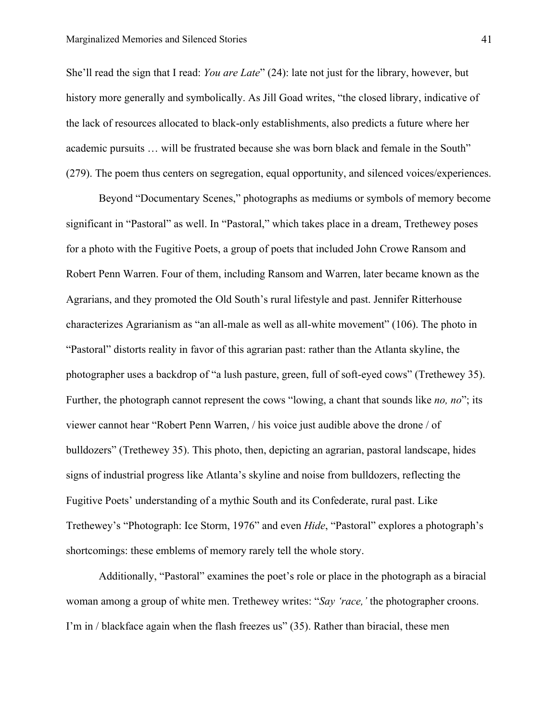She'll read the sign that I read: *You are Late*" (24): late not just for the library, however, but history more generally and symbolically. As Jill Goad writes, "the closed library, indicative of the lack of resources allocated to black-only establishments, also predicts a future where her academic pursuits … will be frustrated because she was born black and female in the South" (279). The poem thus centers on segregation, equal opportunity, and silenced voices/experiences.

Beyond "Documentary Scenes," photographs as mediums or symbols of memory become significant in "Pastoral" as well. In "Pastoral," which takes place in a dream, Trethewey poses for a photo with the Fugitive Poets, a group of poets that included John Crowe Ransom and Robert Penn Warren. Four of them, including Ransom and Warren, later became known as the Agrarians, and they promoted the Old South's rural lifestyle and past. Jennifer Ritterhouse characterizes Agrarianism as "an all-male as well as all-white movement" (106). The photo in "Pastoral" distorts reality in favor of this agrarian past: rather than the Atlanta skyline, the photographer uses a backdrop of "a lush pasture, green, full of soft-eyed cows" (Trethewey 35). Further, the photograph cannot represent the cows "lowing, a chant that sounds like *no, no*"; its viewer cannot hear "Robert Penn Warren, / his voice just audible above the drone / of bulldozers" (Trethewey 35). This photo, then, depicting an agrarian, pastoral landscape, hides signs of industrial progress like Atlanta's skyline and noise from bulldozers, reflecting the Fugitive Poets' understanding of a mythic South and its Confederate, rural past. Like Trethewey's "Photograph: Ice Storm, 1976" and even *Hide*, "Pastoral" explores a photograph's shortcomings: these emblems of memory rarely tell the whole story.

Additionally, "Pastoral" examines the poet's role or place in the photograph as a biracial woman among a group of white men. Trethewey writes: "*Say 'race,'* the photographer croons. I'm in / blackface again when the flash freezes us" (35). Rather than biracial, these men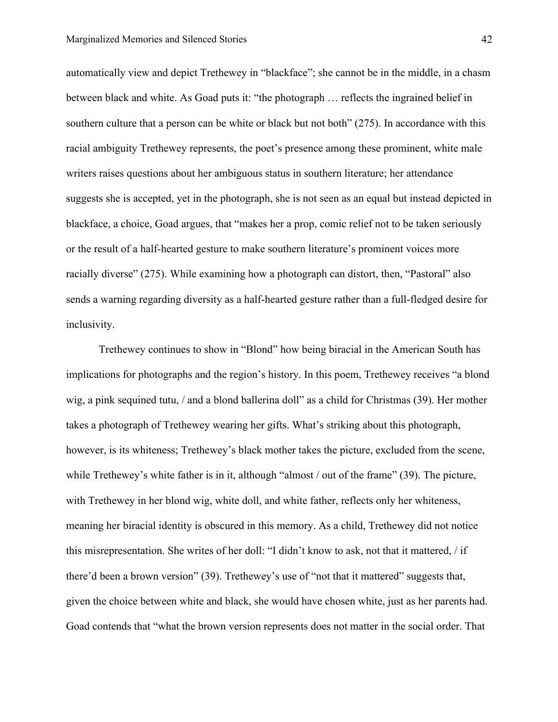automatically view and depict Trethewey in "blackface"; she cannot be in the middle, in a chasm between black and white. As Goad puts it: "the photograph … reflects the ingrained belief in southern culture that a person can be white or black but not both" (275). In accordance with this racial ambiguity Trethewey represents, the poet's presence among these prominent, white male writers raises questions about her ambiguous status in southern literature; her attendance suggests she is accepted, yet in the photograph, she is not seen as an equal but instead depicted in blackface, a choice, Goad argues, that "makes her a prop, comic relief not to be taken seriously or the result of a half-hearted gesture to make southern literature's prominent voices more racially diverse" (275). While examining how a photograph can distort, then, "Pastoral" also sends a warning regarding diversity as a half-hearted gesture rather than a full-fledged desire for inclusivity.

Trethewey continues to show in "Blond" how being biracial in the American South has implications for photographs and the region's history. In this poem, Trethewey receives "a blond wig, a pink sequined tutu, / and a blond ballerina doll" as a child for Christmas (39). Her mother takes a photograph of Trethewey wearing her gifts. What's striking about this photograph, however, is its whiteness; Trethewey's black mother takes the picture, excluded from the scene, while Trethewey's white father is in it, although "almost / out of the frame" (39). The picture, with Trethewey in her blond wig, white doll, and white father, reflects only her whiteness, meaning her biracial identity is obscured in this memory. As a child, Trethewey did not notice this misrepresentation. She writes of her doll: "I didn't know to ask, not that it mattered, / if there'd been a brown version" (39). Trethewey's use of "not that it mattered" suggests that, given the choice between white and black, she would have chosen white, just as her parents had. Goad contends that "what the brown version represents does not matter in the social order. That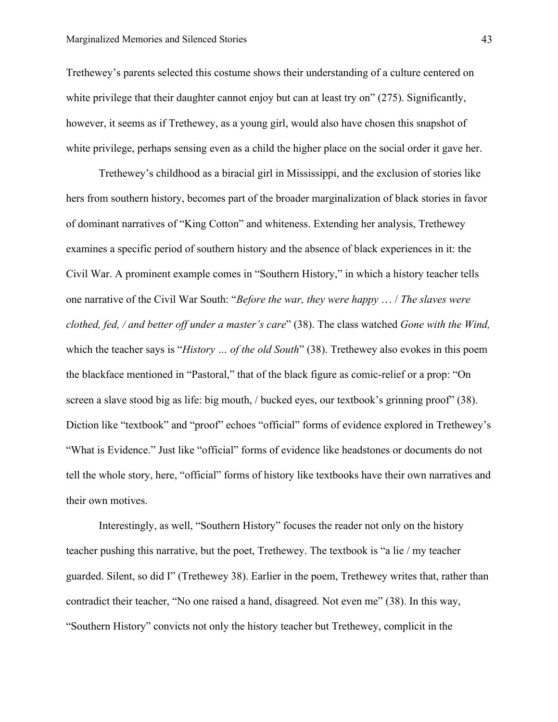Trethewey's parents selected this costume shows their understanding of a culture centered on white privilege that their daughter cannot enjoy but can at least try on" (275). Significantly, however, it seems as if Trethewey, as a young girl, would also have chosen this snapshot of white privilege, perhaps sensing even as a child the higher place on the social order it gave her.

Trethewey's childhood as a biracial girl in Mississippi, and the exclusion of stories like hers from southern history, becomes part of the broader marginalization of black stories in favor of dominant narratives of "King Cotton" and whiteness. Extending her analysis, Trethewey examines a specific period of southern history and the absence of black experiences in it: the Civil War. A prominent example comes in "Southern History," in which a history teacher tells one narrative of the Civil War South: "*Before the war, they were happy* … / *The slaves were clothed, fed, / and better off under a master's care*" (38). The class watched *Gone with the Wind,* which the teacher says is "*History ... of the old South*" (38). Trethewey also evokes in this poem the blackface mentioned in "Pastoral," that of the black figure as comic-relief or a prop: "On screen a slave stood big as life: big mouth, / bucked eyes, our textbook's grinning proof" (38). Diction like "textbook" and "proof" echoes "official" forms of evidence explored in Trethewey's "What is Evidence." Just like "official" forms of evidence like headstones or documents do not tell the whole story, here, "official" forms of history like textbooks have their own narratives and their own motives.

Interestingly, as well, "Southern History" focuses the reader not only on the history teacher pushing this narrative, but the poet, Trethewey. The textbook is "a lie / my teacher guarded. Silent, so did I" (Trethewey 38). Earlier in the poem, Trethewey writes that, rather than contradict their teacher, "No one raised a hand, disagreed. Not even me" (38). In this way, "Southern History" convicts not only the history teacher but Trethewey, complicit in the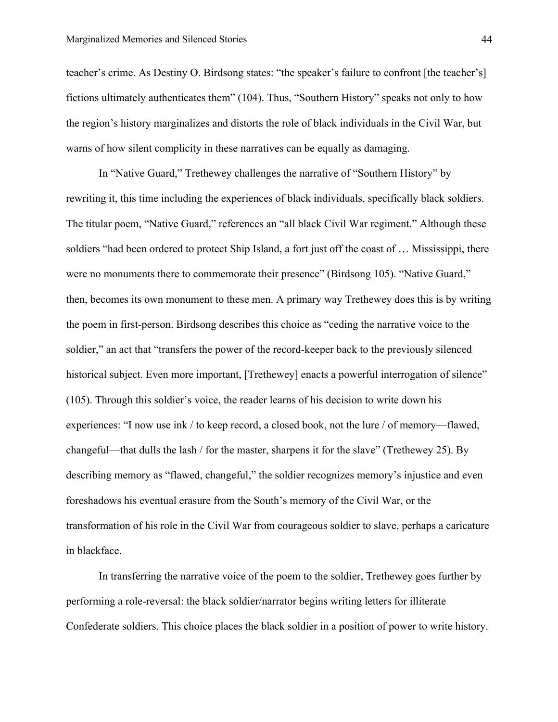teacher's crime. As Destiny O. Birdsong states: "the speaker's failure to confront [the teacher's] fictions ultimately authenticates them" (104). Thus, "Southern History" speaks not only to how the region's history marginalizes and distorts the role of black individuals in the Civil War, but warns of how silent complicity in these narratives can be equally as damaging.

In "Native Guard," Trethewey challenges the narrative of "Southern History" by rewriting it, this time including the experiences of black individuals, specifically black soldiers. The titular poem, "Native Guard," references an "all black Civil War regiment." Although these soldiers "had been ordered to protect Ship Island, a fort just off the coast of … Mississippi, there were no monuments there to commemorate their presence" (Birdsong 105). "Native Guard," then, becomes its own monument to these men. A primary way Trethewey does this is by writing the poem in first-person. Birdsong describes this choice as "ceding the narrative voice to the soldier," an act that "transfers the power of the record-keeper back to the previously silenced historical subject. Even more important, [Trethewey] enacts a powerful interrogation of silence" (105). Through this soldier's voice, the reader learns of his decision to write down his experiences: "I now use ink / to keep record, a closed book, not the lure / of memory—flawed, changeful—that dulls the lash / for the master, sharpens it for the slave" (Trethewey 25). By describing memory as "flawed, changeful," the soldier recognizes memory's injustice and even foreshadows his eventual erasure from the South's memory of the Civil War, or the transformation of his role in the Civil War from courageous soldier to slave, perhaps a caricature in blackface.

In transferring the narrative voice of the poem to the soldier, Trethewey goes further by performing a role-reversal: the black soldier/narrator begins writing letters for illiterate Confederate soldiers. This choice places the black soldier in a position of power to write history.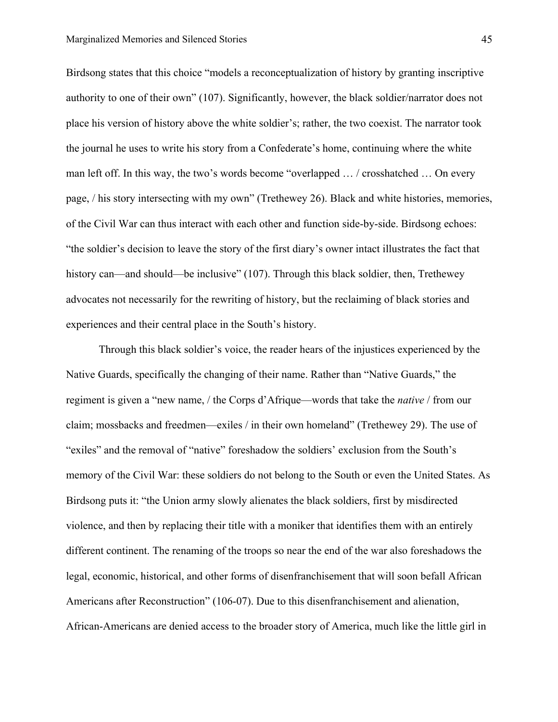Birdsong states that this choice "models a reconceptualization of history by granting inscriptive authority to one of their own" (107). Significantly, however, the black soldier/narrator does not place his version of history above the white soldier's; rather, the two coexist. The narrator took the journal he uses to write his story from a Confederate's home, continuing where the white man left off. In this way, the two's words become "overlapped … / crosshatched … On every page, / his story intersecting with my own" (Trethewey 26). Black and white histories, memories, of the Civil War can thus interact with each other and function side-by-side. Birdsong echoes: "the soldier's decision to leave the story of the first diary's owner intact illustrates the fact that history can—and should—be inclusive" (107). Through this black soldier, then, Trethewey advocates not necessarily for the rewriting of history, but the reclaiming of black stories and experiences and their central place in the South's history.

Through this black soldier's voice, the reader hears of the injustices experienced by the Native Guards, specifically the changing of their name. Rather than "Native Guards," the regiment is given a "new name, / the Corps d'Afrique—words that take the *native* / from our claim; mossbacks and freedmen—exiles / in their own homeland" (Trethewey 29). The use of "exiles" and the removal of "native" foreshadow the soldiers' exclusion from the South's memory of the Civil War: these soldiers do not belong to the South or even the United States. As Birdsong puts it: "the Union army slowly alienates the black soldiers, first by misdirected violence, and then by replacing their title with a moniker that identifies them with an entirely different continent. The renaming of the troops so near the end of the war also foreshadows the legal, economic, historical, and other forms of disenfranchisement that will soon befall African Americans after Reconstruction" (106-07). Due to this disenfranchisement and alienation, African-Americans are denied access to the broader story of America, much like the little girl in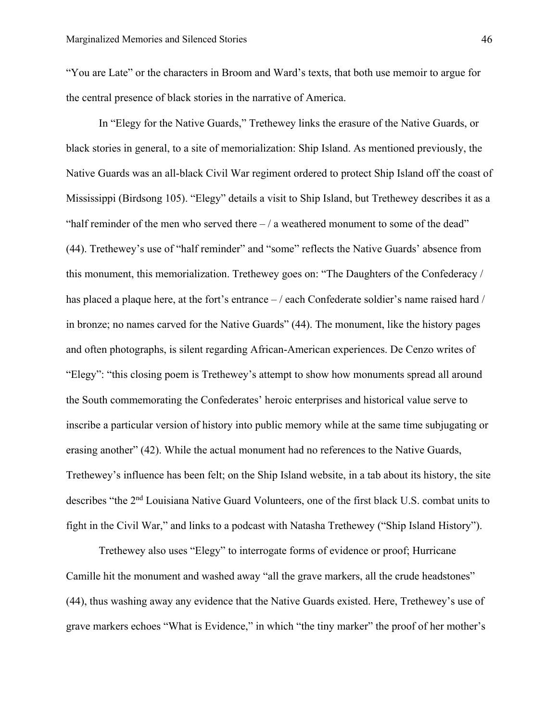"You are Late" or the characters in Broom and Ward's texts, that both use memoir to argue for the central presence of black stories in the narrative of America.

In "Elegy for the Native Guards," Trethewey links the erasure of the Native Guards, or black stories in general, to a site of memorialization: Ship Island. As mentioned previously, the Native Guards was an all-black Civil War regiment ordered to protect Ship Island off the coast of Mississippi (Birdsong 105). "Elegy" details a visit to Ship Island, but Trethewey describes it as a "half reminder of the men who served there  $-/-$  a weathered monument to some of the dead" (44). Trethewey's use of "half reminder" and "some" reflects the Native Guards' absence from this monument, this memorialization. Trethewey goes on: "The Daughters of the Confederacy / has placed a plaque here, at the fort's entrance  $-$  / each Confederate soldier's name raised hard / in bronze; no names carved for the Native Guards" (44). The monument, like the history pages and often photographs, is silent regarding African-American experiences. De Cenzo writes of "Elegy": "this closing poem is Trethewey's attempt to show how monuments spread all around the South commemorating the Confederates' heroic enterprises and historical value serve to inscribe a particular version of history into public memory while at the same time subjugating or erasing another" (42). While the actual monument had no references to the Native Guards, Trethewey's influence has been felt; on the Ship Island website, in a tab about its history, the site describes "the 2nd Louisiana Native Guard Volunteers, one of the first black U.S. combat units to fight in the Civil War," and links to a podcast with Natasha Trethewey ("Ship Island History").

Trethewey also uses "Elegy" to interrogate forms of evidence or proof; Hurricane Camille hit the monument and washed away "all the grave markers, all the crude headstones" (44), thus washing away any evidence that the Native Guards existed. Here, Trethewey's use of grave markers echoes "What is Evidence," in which "the tiny marker" the proof of her mother's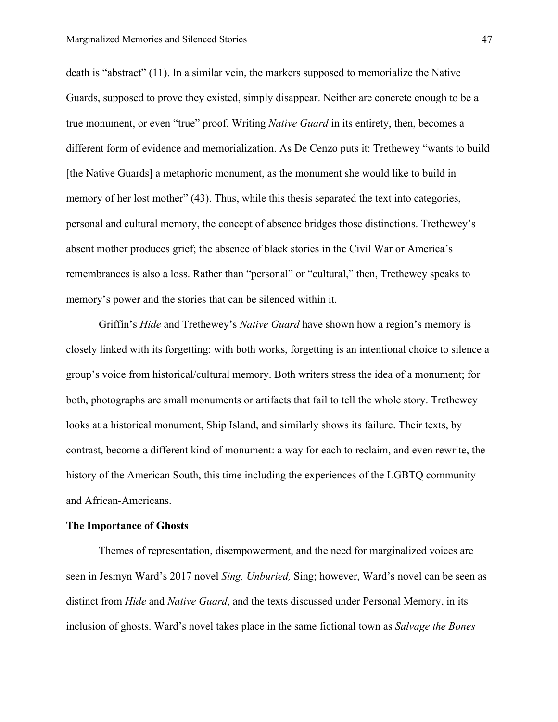death is "abstract" (11). In a similar vein, the markers supposed to memorialize the Native Guards, supposed to prove they existed, simply disappear. Neither are concrete enough to be a true monument, or even "true" proof. Writing *Native Guard* in its entirety, then, becomes a different form of evidence and memorialization. As De Cenzo puts it: Trethewey "wants to build [the Native Guards] a metaphoric monument, as the monument she would like to build in memory of her lost mother" (43). Thus, while this thesis separated the text into categories, personal and cultural memory, the concept of absence bridges those distinctions. Trethewey's absent mother produces grief; the absence of black stories in the Civil War or America's remembrances is also a loss. Rather than "personal" or "cultural," then, Trethewey speaks to memory's power and the stories that can be silenced within it.

Griffin's *Hide* and Trethewey's *Native Guard* have shown how a region's memory is closely linked with its forgetting: with both works, forgetting is an intentional choice to silence a group's voice from historical/cultural memory. Both writers stress the idea of a monument; for both, photographs are small monuments or artifacts that fail to tell the whole story. Trethewey looks at a historical monument, Ship Island, and similarly shows its failure. Their texts, by contrast, become a different kind of monument: a way for each to reclaim, and even rewrite, the history of the American South, this time including the experiences of the LGBTQ community and African-Americans.

#### **The Importance of Ghosts**

Themes of representation, disempowerment, and the need for marginalized voices are seen in Jesmyn Ward's 2017 novel *Sing, Unburied,* Sing; however, Ward's novel can be seen as distinct from *Hide* and *Native Guard*, and the texts discussed under Personal Memory, in its inclusion of ghosts. Ward's novel takes place in the same fictional town as *Salvage the Bones*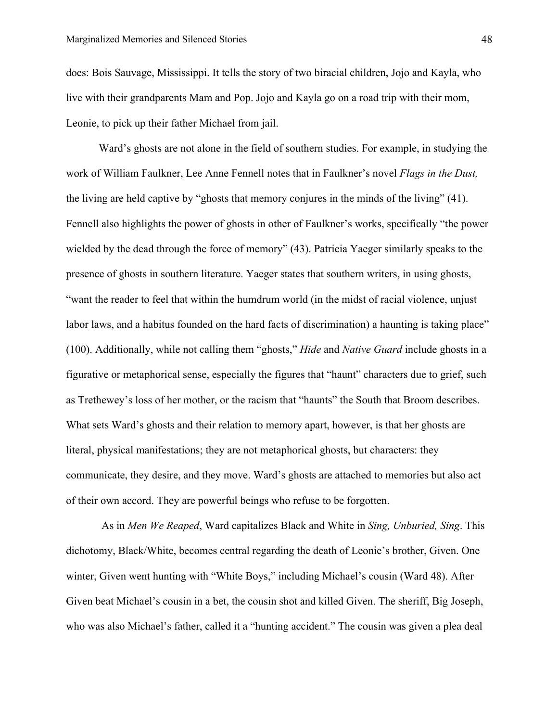does: Bois Sauvage, Mississippi. It tells the story of two biracial children, Jojo and Kayla, who live with their grandparents Mam and Pop. Jojo and Kayla go on a road trip with their mom, Leonie, to pick up their father Michael from jail.

Ward's ghosts are not alone in the field of southern studies. For example, in studying the work of William Faulkner, Lee Anne Fennell notes that in Faulkner's novel *Flags in the Dust,*  the living are held captive by "ghosts that memory conjures in the minds of the living" (41). Fennell also highlights the power of ghosts in other of Faulkner's works, specifically "the power wielded by the dead through the force of memory" (43). Patricia Yaeger similarly speaks to the presence of ghosts in southern literature. Yaeger states that southern writers, in using ghosts, "want the reader to feel that within the humdrum world (in the midst of racial violence, unjust labor laws, and a habitus founded on the hard facts of discrimination) a haunting is taking place" (100). Additionally, while not calling them "ghosts," *Hide* and *Native Guard* include ghosts in a figurative or metaphorical sense, especially the figures that "haunt" characters due to grief, such as Trethewey's loss of her mother, or the racism that "haunts" the South that Broom describes. What sets Ward's ghosts and their relation to memory apart, however, is that her ghosts are literal, physical manifestations; they are not metaphorical ghosts, but characters: they communicate, they desire, and they move. Ward's ghosts are attached to memories but also act of their own accord. They are powerful beings who refuse to be forgotten.

As in *Men We Reaped*, Ward capitalizes Black and White in *Sing, Unburied, Sing*. This dichotomy, Black/White, becomes central regarding the death of Leonie's brother, Given. One winter, Given went hunting with "White Boys," including Michael's cousin (Ward 48). After Given beat Michael's cousin in a bet, the cousin shot and killed Given. The sheriff, Big Joseph, who was also Michael's father, called it a "hunting accident." The cousin was given a plea deal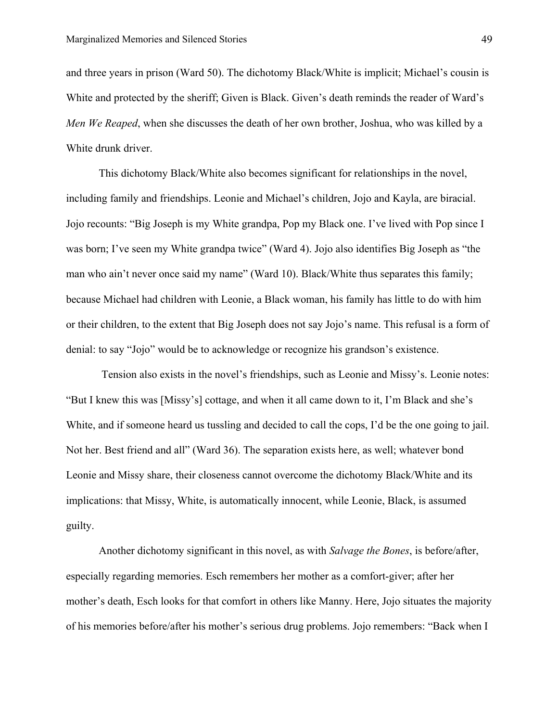and three years in prison (Ward 50). The dichotomy Black/White is implicit; Michael's cousin is White and protected by the sheriff; Given is Black. Given's death reminds the reader of Ward's *Men We Reaped*, when she discusses the death of her own brother, Joshua, who was killed by a White drunk driver.

This dichotomy Black/White also becomes significant for relationships in the novel, including family and friendships. Leonie and Michael's children, Jojo and Kayla, are biracial. Jojo recounts: "Big Joseph is my White grandpa, Pop my Black one. I've lived with Pop since I was born; I've seen my White grandpa twice" (Ward 4). Jojo also identifies Big Joseph as "the man who ain't never once said my name" (Ward 10). Black/White thus separates this family; because Michael had children with Leonie, a Black woman, his family has little to do with him or their children, to the extent that Big Joseph does not say Jojo's name. This refusal is a form of denial: to say "Jojo" would be to acknowledge or recognize his grandson's existence.

Tension also exists in the novel's friendships, such as Leonie and Missy's. Leonie notes: "But I knew this was [Missy's] cottage, and when it all came down to it, I'm Black and she's White, and if someone heard us tussling and decided to call the cops, I'd be the one going to jail. Not her. Best friend and all" (Ward 36). The separation exists here, as well; whatever bond Leonie and Missy share, their closeness cannot overcome the dichotomy Black/White and its implications: that Missy, White, is automatically innocent, while Leonie, Black, is assumed guilty.

Another dichotomy significant in this novel, as with *Salvage the Bones*, is before/after, especially regarding memories. Esch remembers her mother as a comfort-giver; after her mother's death, Esch looks for that comfort in others like Manny. Here, Jojo situates the majority of his memories before/after his mother's serious drug problems. Jojo remembers: "Back when I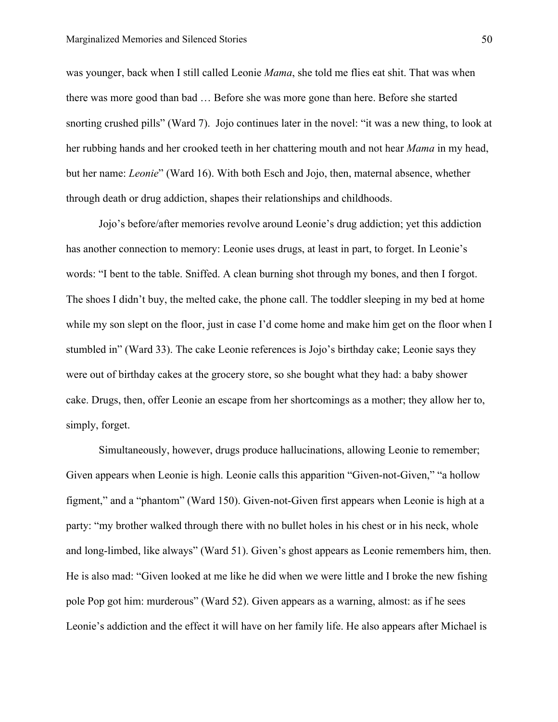was younger, back when I still called Leonie *Mama*, she told me flies eat shit. That was when there was more good than bad … Before she was more gone than here. Before she started snorting crushed pills" (Ward 7). Jojo continues later in the novel: "it was a new thing, to look at her rubbing hands and her crooked teeth in her chattering mouth and not hear *Mama* in my head, but her name: *Leonie*" (Ward 16). With both Esch and Jojo, then, maternal absence, whether through death or drug addiction, shapes their relationships and childhoods.

Jojo's before/after memories revolve around Leonie's drug addiction; yet this addiction has another connection to memory: Leonie uses drugs, at least in part, to forget. In Leonie's words: "I bent to the table. Sniffed. A clean burning shot through my bones, and then I forgot. The shoes I didn't buy, the melted cake, the phone call. The toddler sleeping in my bed at home while my son slept on the floor, just in case I'd come home and make him get on the floor when I stumbled in" (Ward 33). The cake Leonie references is Jojo's birthday cake; Leonie says they were out of birthday cakes at the grocery store, so she bought what they had: a baby shower cake. Drugs, then, offer Leonie an escape from her shortcomings as a mother; they allow her to, simply, forget.

Simultaneously, however, drugs produce hallucinations, allowing Leonie to remember; Given appears when Leonie is high. Leonie calls this apparition "Given-not-Given," "a hollow figment," and a "phantom" (Ward 150). Given-not-Given first appears when Leonie is high at a party: "my brother walked through there with no bullet holes in his chest or in his neck, whole and long-limbed, like always" (Ward 51). Given's ghost appears as Leonie remembers him, then. He is also mad: "Given looked at me like he did when we were little and I broke the new fishing pole Pop got him: murderous" (Ward 52). Given appears as a warning, almost: as if he sees Leonie's addiction and the effect it will have on her family life. He also appears after Michael is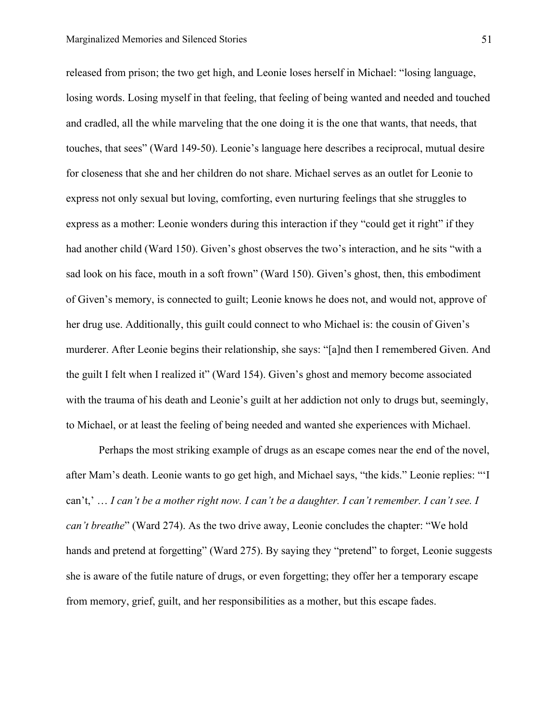released from prison; the two get high, and Leonie loses herself in Michael: "losing language, losing words. Losing myself in that feeling, that feeling of being wanted and needed and touched and cradled, all the while marveling that the one doing it is the one that wants, that needs, that touches, that sees" (Ward 149-50). Leonie's language here describes a reciprocal, mutual desire for closeness that she and her children do not share. Michael serves as an outlet for Leonie to express not only sexual but loving, comforting, even nurturing feelings that she struggles to express as a mother: Leonie wonders during this interaction if they "could get it right" if they had another child (Ward 150). Given's ghost observes the two's interaction, and he sits "with a sad look on his face, mouth in a soft frown" (Ward 150). Given's ghost, then, this embodiment of Given's memory, is connected to guilt; Leonie knows he does not, and would not, approve of her drug use. Additionally, this guilt could connect to who Michael is: the cousin of Given's murderer. After Leonie begins their relationship, she says: "[a]nd then I remembered Given. And the guilt I felt when I realized it" (Ward 154). Given's ghost and memory become associated with the trauma of his death and Leonie's guilt at her addiction not only to drugs but, seemingly, to Michael, or at least the feeling of being needed and wanted she experiences with Michael.

Perhaps the most striking example of drugs as an escape comes near the end of the novel, after Mam's death. Leonie wants to go get high, and Michael says, "the kids." Leonie replies: "'I can't,' … *I can't be a mother right now. I can't be a daughter. I can't remember. I can't see. I can't breathe*" (Ward 274). As the two drive away, Leonie concludes the chapter: "We hold hands and pretend at forgetting" (Ward 275). By saying they "pretend" to forget, Leonie suggests she is aware of the futile nature of drugs, or even forgetting; they offer her a temporary escape from memory, grief, guilt, and her responsibilities as a mother, but this escape fades.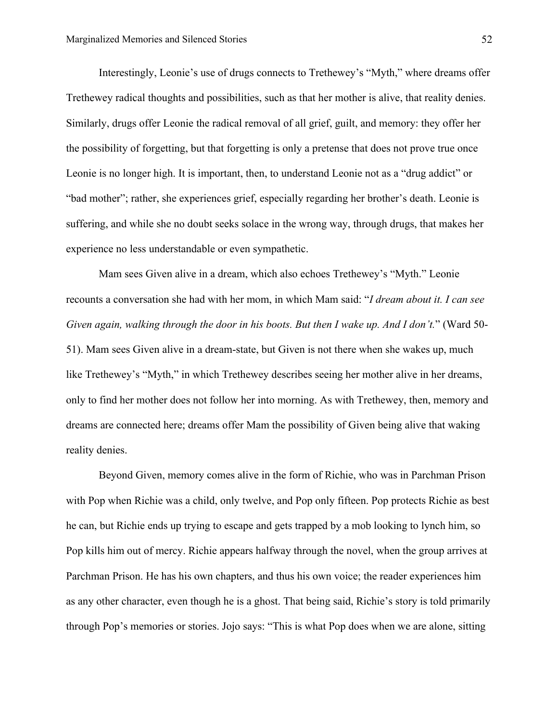Interestingly, Leonie's use of drugs connects to Trethewey's "Myth," where dreams offer Trethewey radical thoughts and possibilities, such as that her mother is alive, that reality denies. Similarly, drugs offer Leonie the radical removal of all grief, guilt, and memory: they offer her the possibility of forgetting, but that forgetting is only a pretense that does not prove true once Leonie is no longer high. It is important, then, to understand Leonie not as a "drug addict" or "bad mother"; rather, she experiences grief, especially regarding her brother's death. Leonie is suffering, and while she no doubt seeks solace in the wrong way, through drugs, that makes her experience no less understandable or even sympathetic.

Mam sees Given alive in a dream, which also echoes Trethewey's "Myth." Leonie recounts a conversation she had with her mom, in which Mam said: "*I dream about it. I can see Given again, walking through the door in his boots. But then I wake up. And I don't.*" (Ward 50- 51). Mam sees Given alive in a dream-state, but Given is not there when she wakes up, much like Trethewey's "Myth," in which Trethewey describes seeing her mother alive in her dreams, only to find her mother does not follow her into morning. As with Trethewey, then, memory and dreams are connected here; dreams offer Mam the possibility of Given being alive that waking reality denies.

Beyond Given, memory comes alive in the form of Richie, who was in Parchman Prison with Pop when Richie was a child, only twelve, and Pop only fifteen. Pop protects Richie as best he can, but Richie ends up trying to escape and gets trapped by a mob looking to lynch him, so Pop kills him out of mercy. Richie appears halfway through the novel, when the group arrives at Parchman Prison. He has his own chapters, and thus his own voice; the reader experiences him as any other character, even though he is a ghost. That being said, Richie's story is told primarily through Pop's memories or stories. Jojo says: "This is what Pop does when we are alone, sitting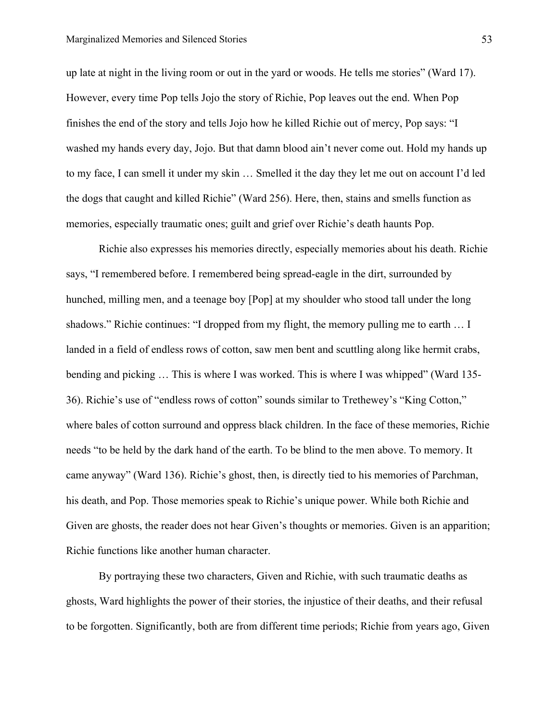up late at night in the living room or out in the yard or woods. He tells me stories" (Ward 17). However, every time Pop tells Jojo the story of Richie, Pop leaves out the end. When Pop finishes the end of the story and tells Jojo how he killed Richie out of mercy, Pop says: "I washed my hands every day, Jojo. But that damn blood ain't never come out. Hold my hands up to my face, I can smell it under my skin … Smelled it the day they let me out on account I'd led the dogs that caught and killed Richie" (Ward 256). Here, then, stains and smells function as memories, especially traumatic ones; guilt and grief over Richie's death haunts Pop.

Richie also expresses his memories directly, especially memories about his death. Richie says, "I remembered before. I remembered being spread-eagle in the dirt, surrounded by hunched, milling men, and a teenage boy [Pop] at my shoulder who stood tall under the long shadows." Richie continues: "I dropped from my flight, the memory pulling me to earth … I landed in a field of endless rows of cotton, saw men bent and scuttling along like hermit crabs, bending and picking … This is where I was worked. This is where I was whipped" (Ward 135- 36). Richie's use of "endless rows of cotton" sounds similar to Trethewey's "King Cotton," where bales of cotton surround and oppress black children. In the face of these memories, Richie needs "to be held by the dark hand of the earth. To be blind to the men above. To memory. It came anyway" (Ward 136). Richie's ghost, then, is directly tied to his memories of Parchman, his death, and Pop. Those memories speak to Richie's unique power. While both Richie and Given are ghosts, the reader does not hear Given's thoughts or memories. Given is an apparition; Richie functions like another human character.

By portraying these two characters, Given and Richie, with such traumatic deaths as ghosts, Ward highlights the power of their stories, the injustice of their deaths, and their refusal to be forgotten. Significantly, both are from different time periods; Richie from years ago, Given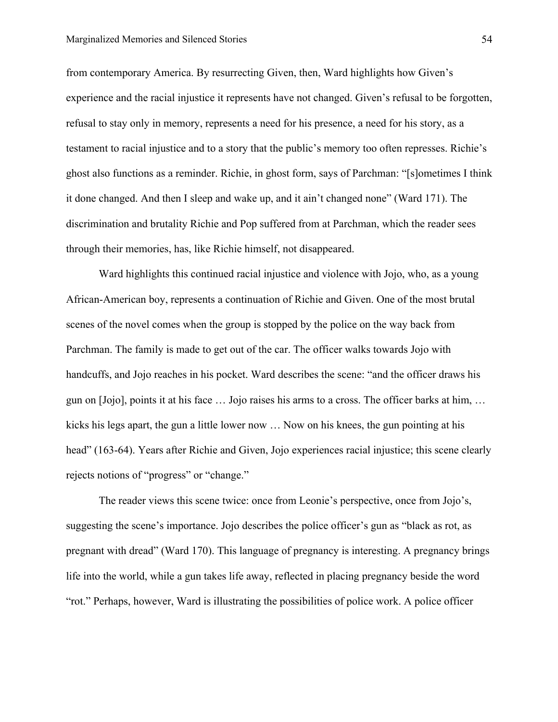from contemporary America. By resurrecting Given, then, Ward highlights how Given's experience and the racial injustice it represents have not changed. Given's refusal to be forgotten, refusal to stay only in memory, represents a need for his presence, a need for his story, as a testament to racial injustice and to a story that the public's memory too often represses. Richie's ghost also functions as a reminder. Richie, in ghost form, says of Parchman: "[s]ometimes I think it done changed. And then I sleep and wake up, and it ain't changed none" (Ward 171). The discrimination and brutality Richie and Pop suffered from at Parchman, which the reader sees through their memories, has, like Richie himself, not disappeared.

Ward highlights this continued racial injustice and violence with Jojo, who, as a young African-American boy, represents a continuation of Richie and Given. One of the most brutal scenes of the novel comes when the group is stopped by the police on the way back from Parchman. The family is made to get out of the car. The officer walks towards Jojo with handcuffs, and Jojo reaches in his pocket. Ward describes the scene: "and the officer draws his gun on [Jojo], points it at his face … Jojo raises his arms to a cross. The officer barks at him, … kicks his legs apart, the gun a little lower now … Now on his knees, the gun pointing at his head" (163-64). Years after Richie and Given, Jojo experiences racial injustice; this scene clearly rejects notions of "progress" or "change."

The reader views this scene twice: once from Leonie's perspective, once from Jojo's, suggesting the scene's importance. Jojo describes the police officer's gun as "black as rot, as pregnant with dread" (Ward 170). This language of pregnancy is interesting. A pregnancy brings life into the world, while a gun takes life away, reflected in placing pregnancy beside the word "rot." Perhaps, however, Ward is illustrating the possibilities of police work. A police officer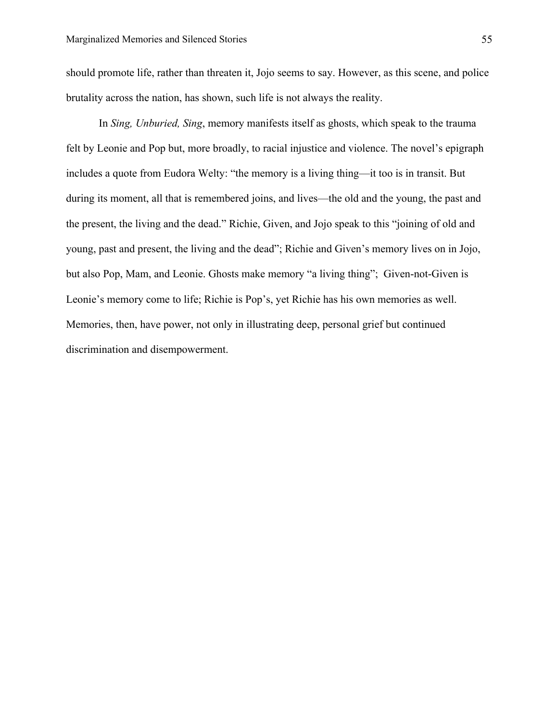should promote life, rather than threaten it, Jojo seems to say. However, as this scene, and police brutality across the nation, has shown, such life is not always the reality.

In *Sing, Unburied, Sing*, memory manifests itself as ghosts, which speak to the trauma felt by Leonie and Pop but, more broadly, to racial injustice and violence. The novel's epigraph includes a quote from Eudora Welty: "the memory is a living thing—it too is in transit. But during its moment, all that is remembered joins, and lives—the old and the young, the past and the present, the living and the dead." Richie, Given, and Jojo speak to this "joining of old and young, past and present, the living and the dead"; Richie and Given's memory lives on in Jojo, but also Pop, Mam, and Leonie. Ghosts make memory "a living thing"; Given-not-Given is Leonie's memory come to life; Richie is Pop's, yet Richie has his own memories as well. Memories, then, have power, not only in illustrating deep, personal grief but continued discrimination and disempowerment.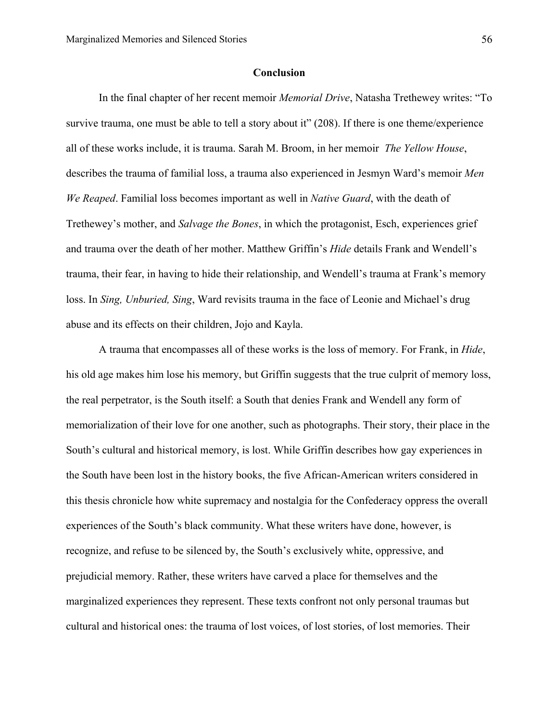#### **Conclusion**

In the final chapter of her recent memoir *Memorial Drive*, Natasha Trethewey writes: "To survive trauma, one must be able to tell a story about it" (208). If there is one theme/experience all of these works include, it is trauma. Sarah M. Broom, in her memoir *The Yellow House*, describes the trauma of familial loss, a trauma also experienced in Jesmyn Ward's memoir *Men We Reaped*. Familial loss becomes important as well in *Native Guard*, with the death of Trethewey's mother, and *Salvage the Bones*, in which the protagonist, Esch, experiences grief and trauma over the death of her mother. Matthew Griffin's *Hide* details Frank and Wendell's trauma, their fear, in having to hide their relationship, and Wendell's trauma at Frank's memory loss. In *Sing, Unburied, Sing*, Ward revisits trauma in the face of Leonie and Michael's drug abuse and its effects on their children, Jojo and Kayla.

A trauma that encompasses all of these works is the loss of memory. For Frank, in *Hide*, his old age makes him lose his memory, but Griffin suggests that the true culprit of memory loss, the real perpetrator, is the South itself: a South that denies Frank and Wendell any form of memorialization of their love for one another, such as photographs. Their story, their place in the South's cultural and historical memory, is lost. While Griffin describes how gay experiences in the South have been lost in the history books, the five African-American writers considered in this thesis chronicle how white supremacy and nostalgia for the Confederacy oppress the overall experiences of the South's black community. What these writers have done, however, is recognize, and refuse to be silenced by, the South's exclusively white, oppressive, and prejudicial memory. Rather, these writers have carved a place for themselves and the marginalized experiences they represent. These texts confront not only personal traumas but cultural and historical ones: the trauma of lost voices, of lost stories, of lost memories. Their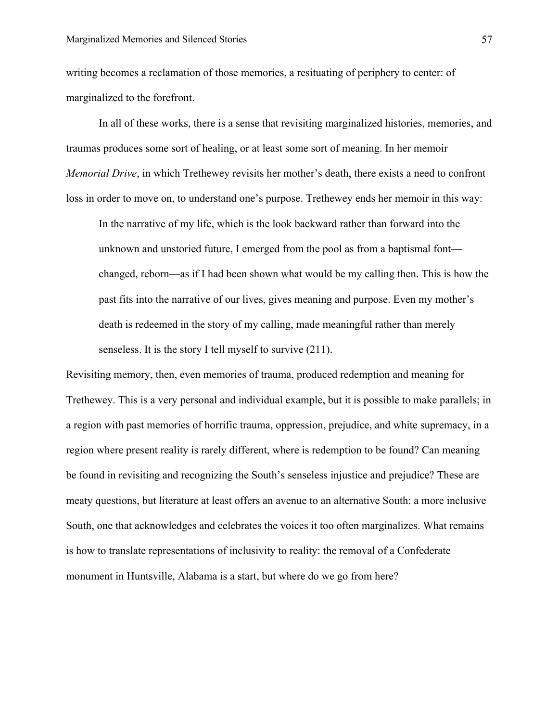writing becomes a reclamation of those memories, a resituating of periphery to center: of marginalized to the forefront.

In all of these works, there is a sense that revisiting marginalized histories, memories, and traumas produces some sort of healing, or at least some sort of meaning. In her memoir *Memorial Drive*, in which Trethewey revisits her mother's death, there exists a need to confront loss in order to move on, to understand one's purpose. Trethewey ends her memoir in this way:

In the narrative of my life, which is the look backward rather than forward into the unknown and unstoried future, I emerged from the pool as from a baptismal font changed, reborn—as if I had been shown what would be my calling then. This is how the past fits into the narrative of our lives, gives meaning and purpose. Even my mother's death is redeemed in the story of my calling, made meaningful rather than merely senseless. It is the story I tell myself to survive (211).

Revisiting memory, then, even memories of trauma, produced redemption and meaning for Trethewey. This is a very personal and individual example, but it is possible to make parallels; in a region with past memories of horrific trauma, oppression, prejudice, and white supremacy, in a region where present reality is rarely different, where is redemption to be found? Can meaning be found in revisiting and recognizing the South's senseless injustice and prejudice? These are meaty questions, but literature at least offers an avenue to an alternative South: a more inclusive South, one that acknowledges and celebrates the voices it too often marginalizes. What remains is how to translate representations of inclusivity to reality: the removal of a Confederate monument in Huntsville, Alabama is a start, but where do we go from here?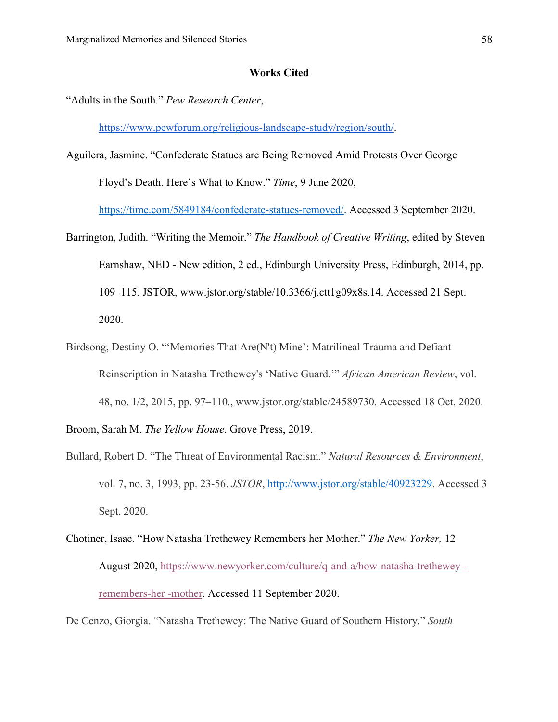#### **Works Cited**

"Adults in the South." *Pew Research Center*,

https://www.pewforum.org/religious-landscape-study/region/south/.

- Aguilera, Jasmine. "Confederate Statues are Being Removed Amid Protests Over George Floyd's Death. Here's What to Know." *Time*, 9 June 2020, https://time.com/5849184/confederate-statues-removed/. Accessed 3 September 2020.
- Barrington, Judith. "Writing the Memoir." *The Handbook of Creative Writing*, edited by Steven Earnshaw, NED - New edition, 2 ed., Edinburgh University Press, Edinburgh, 2014, pp. 109–115. JSTOR, www.jstor.org/stable/10.3366/j.ctt1g09x8s.14. Accessed 21 Sept. 2020.
- Birdsong, Destiny O. "'Memories That Are(N't) Mine': Matrilineal Trauma and Defiant Reinscription in Natasha Trethewey's 'Native Guard.'" *African American Review*, vol. 48, no. 1/2, 2015, pp. 97–110., www.jstor.org/stable/24589730. Accessed 18 Oct. 2020.

Broom, Sarah M. *The Yellow House*. Grove Press, 2019.

- Bullard, Robert D. "The Threat of Environmental Racism." *Natural Resources & Environment*, vol. 7, no. 3, 1993, pp. 23-56. *JSTOR*, http://www.jstor.org/stable/40923229. Accessed 3 Sept. 2020.
- Chotiner, Isaac. "How Natasha Trethewey Remembers her Mother." *The New Yorker,* 12 August 2020, https://www.newyorker.com/culture/q-and-a/how-natasha-trethewey remembers-her -mother. Accessed 11 September 2020.

De Cenzo, Giorgia. "Natasha Trethewey: The Native Guard of Southern History." *South*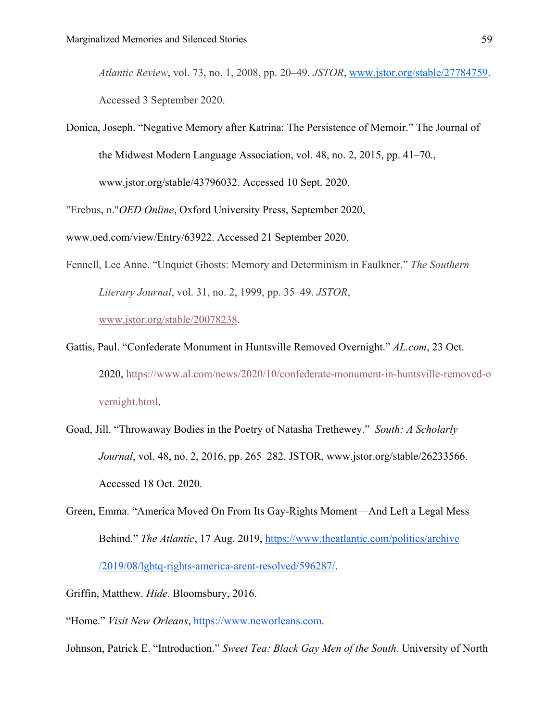*Atlantic Review*, vol. 73, no. 1, 2008, pp. 20–49. *JSTOR*, www.jstor.org/stable/27784759. Accessed 3 September 2020.

Donica, Joseph. "Negative Memory after Katrina: The Persistence of Memoir." The Journal of the Midwest Modern Language Association, vol. 48, no. 2, 2015, pp. 41–70.,

www.jstor.org/stable/43796032. Accessed 10 Sept. 2020.

"Erebus, n."*OED Online*, Oxford University Press, September 2020,

www.oed.com/view/Entry/63922. Accessed 21 September 2020.

Fennell, Lee Anne. "Unquiet Ghosts: Memory and Determinism in Faulkner." *The Southern Literary Journal*, vol. 31, no. 2, 1999, pp. 35–49. *JSTOR*,

www.jstor.org/stable/20078238.

- Gattis, Paul. "Confederate Monument in Huntsville Removed Overnight." *AL.com*, 23 Oct. 2020, https://www.al.com/news/2020/10/confederate-monument-in-huntsville-removed-o vernight.html.
- Goad, Jill. "Throwaway Bodies in the Poetry of Natasha Trethewey." *South: A Scholarly Journal*, vol. 48, no. 2, 2016, pp. 265–282. JSTOR, www.jstor.org/stable/26233566. Accessed 18 Oct. 2020.
- Green, Emma. "America Moved On From Its Gay-Rights Moment—And Left a Legal Mess Behind." *The Atlantic*, 17 Aug. 2019, https://www.theatlantic.com/politics/archive /2019/08/lgbtq-rights-america-arent-resolved/596287/.
- Griffin, Matthew. *Hide*. Bloomsbury, 2016.
- "Home." *Visit New Orleans*, https://www.neworleans.com.
- Johnson, Patrick E. "Introduction." *Sweet Tea: Black Gay Men of the South*. University of North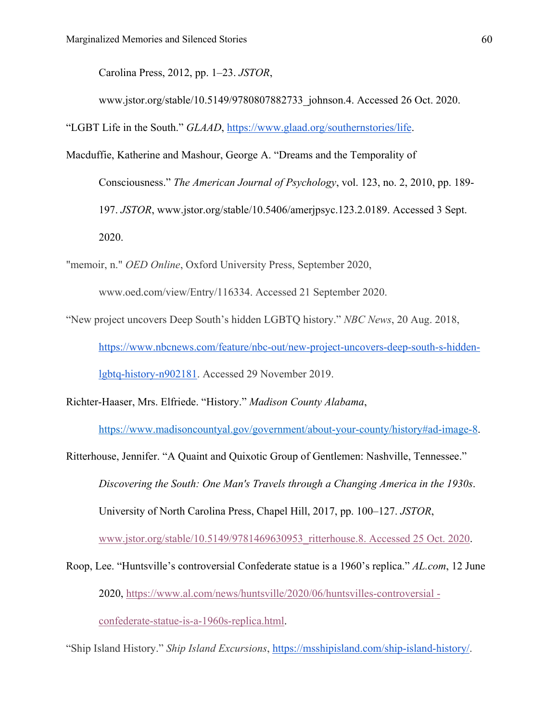Carolina Press, 2012, pp. 1–23. *JSTOR*,

www.jstor.org/stable/10.5149/9780807882733\_johnson.4. Accessed 26 Oct. 2020.

"LGBT Life in the South." *GLAAD*, https://www.glaad.org/southernstories/life.

- Macduffie, Katherine and Mashour, George A. "Dreams and the Temporality of
	- Consciousness." *The American Journal of Psychology*, vol. 123, no. 2, 2010, pp. 189- 197. *JSTOR*, www.jstor.org/stable/10.5406/amerjpsyc.123.2.0189. Accessed 3 Sept. 2020.
- "memoir, n." *OED Online*, Oxford University Press, September 2020,

www.oed.com/view/Entry/116334. Accessed 21 September 2020.

"New project uncovers Deep South's hidden LGBTQ history." *NBC News*, 20 Aug. 2018, https://www.nbcnews.com/feature/nbc-out/new-project-uncovers-deep-south-s-hiddenlgbtq-history-n902181. Accessed 29 November 2019.

Richter-Haaser, Mrs. Elfriede. "History." *Madison County Alabama*,

https://www.madisoncountyal.gov/government/about-your-county/history#ad-image-8.

Ritterhouse, Jennifer. "A Quaint and Quixotic Group of Gentlemen: Nashville, Tennessee." *Discovering the South: One Man's Travels through a Changing America in the 1930s*. University of North Carolina Press, Chapel Hill, 2017, pp. 100–127. *JSTOR*,

www.jstor.org/stable/10.5149/9781469630953\_ritterhouse.8. Accessed 25 Oct. 2020.

Roop, Lee. "Huntsville's controversial Confederate statue is a 1960's replica." *AL.com*, 12 June 2020, https://www.al.com/news/huntsville/2020/06/huntsvilles-controversial confederate-statue-is-a-1960s-replica.html.

"Ship Island History." *Ship Island Excursions*, https://msshipisland.com/ship-island-history/.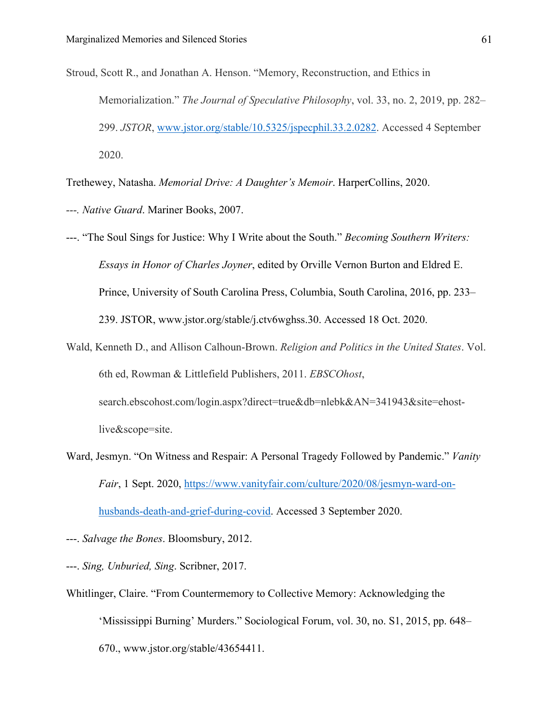Stroud, Scott R., and Jonathan A. Henson. "Memory, Reconstruction, and Ethics in Memorialization." *The Journal of Speculative Philosophy*, vol. 33, no. 2, 2019, pp. 282– 299. *JSTOR*, www.jstor.org/stable/10.5325/jspecphil.33.2.0282. Accessed 4 September 2020.

Trethewey, Natasha. *Memorial Drive: A Daughter's Memoir*. HarperCollins, 2020.

*---. Native Guard*. Mariner Books, 2007.

---. "The Soul Sings for Justice: Why I Write about the South." *Becoming Southern Writers: Essays in Honor of Charles Joyner*, edited by Orville Vernon Burton and Eldred E. Prince, University of South Carolina Press, Columbia, South Carolina, 2016, pp. 233– 239. JSTOR, www.jstor.org/stable/j.ctv6wghss.30. Accessed 18 Oct. 2020.

- Wald, Kenneth D., and Allison Calhoun-Brown. *Religion and Politics in the United States*. Vol. 6th ed, Rowman & Littlefield Publishers, 2011. *EBSCOhost*, search.ebscohost.com/login.aspx?direct=true&db=nlebk&AN=341943&site=ehostlive&scope=site.
- Ward, Jesmyn. "On Witness and Respair: A Personal Tragedy Followed by Pandemic." *Vanity Fair*, 1 Sept. 2020, https://www.vanityfair.com/culture/2020/08/jesmyn-ward-onhusbands-death-and-grief-during-covid. Accessed 3 September 2020.
- ---. *Salvage the Bones*. Bloomsbury, 2012.
- ---. *Sing, Unburied, Sing*. Scribner, 2017.
- Whitlinger, Claire. "From Countermemory to Collective Memory: Acknowledging the 'Mississippi Burning' Murders." Sociological Forum, vol. 30, no. S1, 2015, pp. 648– 670., www.jstor.org/stable/43654411.